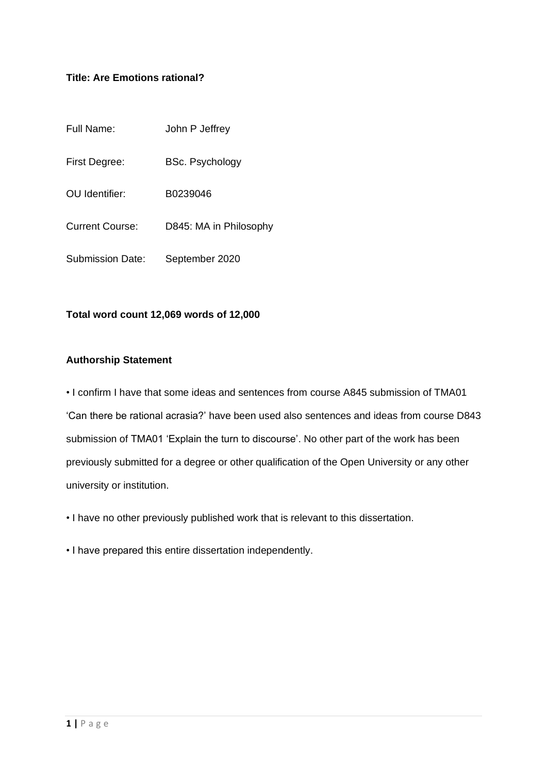### **Title: Are Emotions rational?**

| Full Name:              | John P Jeffrey         |
|-------------------------|------------------------|
| First Degree:           | <b>BSc. Psychology</b> |
| OU Identifier:          | B0239046               |
| <b>Current Course:</b>  | D845: MA in Philosophy |
| <b>Submission Date:</b> | September 2020         |

#### **Total word count 12,069 words of 12,000**

#### **Authorship Statement**

• I confirm I have that some ideas and sentences from course A845 submission of TMA01 'Can there be rational acrasia?' have been used also sentences and ideas from course D843 submission of TMA01 'Explain the turn to discourse'. No other part of the work has been previously submitted for a degree or other qualification of the Open University or any other university or institution.

• I have no other previously published work that is relevant to this dissertation.

• I have prepared this entire dissertation independently.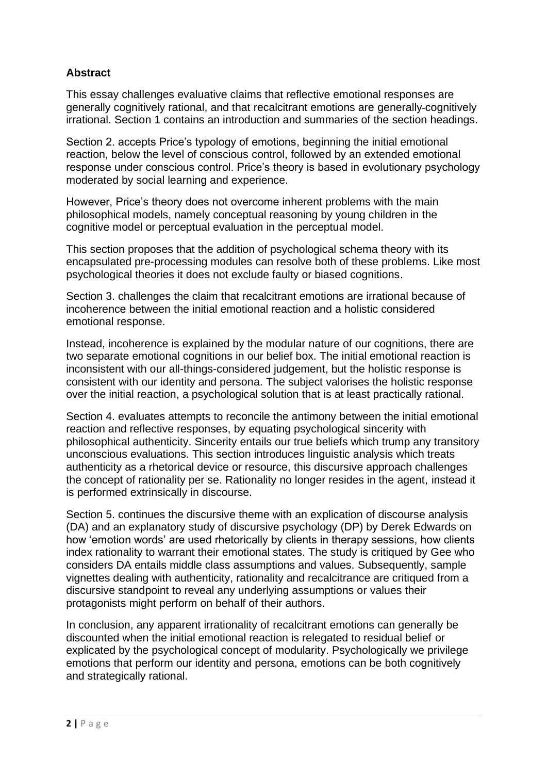## **Abstract**

This essay challenges evaluative claims that reflective emotional responses are generally cognitively rational, and that recalcitrant emotions are generally cognitively irrational. Section 1 contains an introduction and summaries of the section headings.

Section 2. accepts Price's typology of emotions, beginning the initial emotional reaction, below the level of conscious control, followed by an extended emotional response under conscious control. Price's theory is based in evolutionary psychology moderated by social learning and experience.

However, Price's theory does not overcome inherent problems with the main philosophical models, namely conceptual reasoning by young children in the cognitive model or perceptual evaluation in the perceptual model.

This section proposes that the addition of psychological schema theory with its encapsulated pre-processing modules can resolve both of these problems. Like most psychological theories it does not exclude faulty or biased cognitions.

Section 3. challenges the claim that recalcitrant emotions are irrational because of incoherence between the initial emotional reaction and a holistic considered emotional response.

Instead, incoherence is explained by the modular nature of our cognitions, there are two separate emotional cognitions in our belief box. The initial emotional reaction is inconsistent with our all-things-considered judgement, but the holistic response is consistent with our identity and persona. The subject valorises the holistic response over the initial reaction, a psychological solution that is at least practically rational.

Section 4. evaluates attempts to reconcile the antimony between the initial emotional reaction and reflective responses, by equating psychological sincerity with philosophical authenticity. Sincerity entails our true beliefs which trump any transitory unconscious evaluations. This section introduces linguistic analysis which treats authenticity as a rhetorical device or resource, this discursive approach challenges the concept of rationality per se. Rationality no longer resides in the agent, instead it is performed extrinsically in discourse.

Section 5. continues the discursive theme with an explication of discourse analysis (DA) and an explanatory study of discursive psychology (DP) by Derek Edwards on how 'emotion words' are used rhetorically by clients in therapy sessions, how clients index rationality to warrant their emotional states. The study is critiqued by Gee who considers DA entails middle class assumptions and values. Subsequently, sample vignettes dealing with authenticity, rationality and recalcitrance are critiqued from a discursive standpoint to reveal any underlying assumptions or values their protagonists might perform on behalf of their authors.

In conclusion, any apparent irrationality of recalcitrant emotions can generally be discounted when the initial emotional reaction is relegated to residual belief or explicated by the psychological concept of modularity. Psychologically we privilege emotions that perform our identity and persona, emotions can be both cognitively and strategically rational.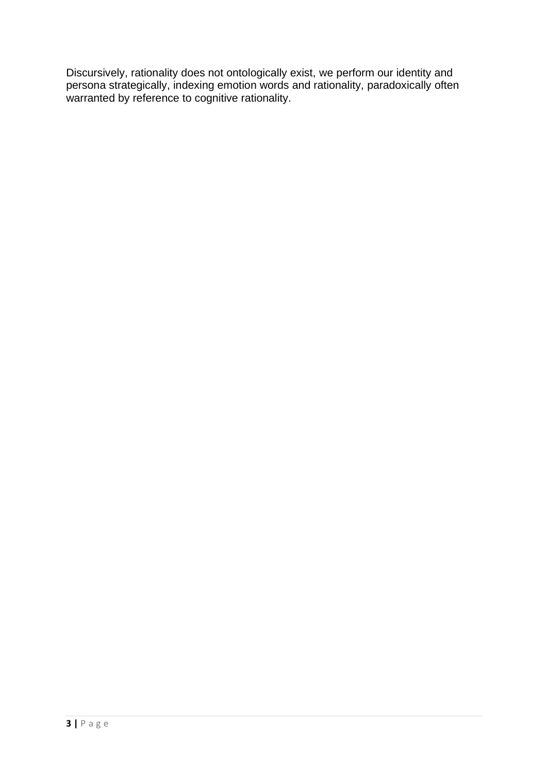Discursively, rationality does not ontologically exist, we perform our identity and persona strategically, indexing emotion words and rationality, paradoxically often warranted by reference to cognitive rationality.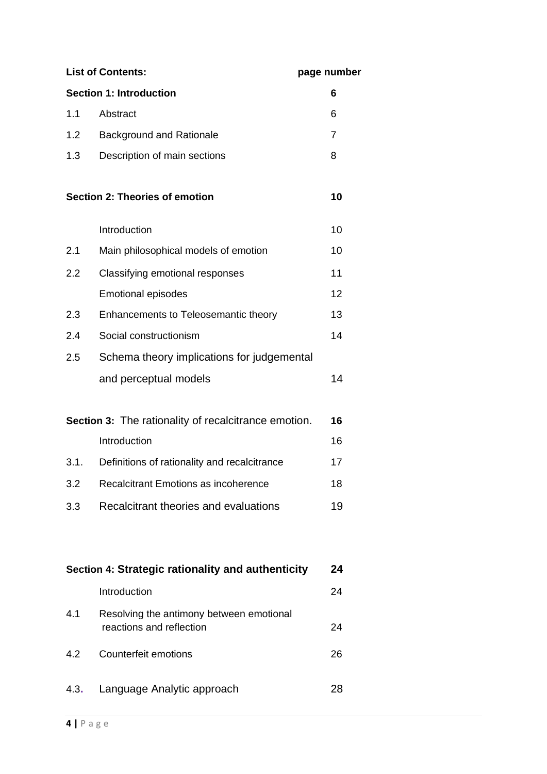| <b>List of Contents:</b> |                                                                      | page number |
|--------------------------|----------------------------------------------------------------------|-------------|
|                          | <b>Section 1: Introduction</b>                                       | 6           |
| 1.1                      | Abstract                                                             | 6           |
| 1.2                      | <b>Background and Rationale</b>                                      | 7           |
| 1.3                      | Description of main sections                                         | 8           |
|                          | <b>Section 2: Theories of emotion</b>                                | 10          |
|                          | Introduction                                                         | 10          |
| 2.1                      | Main philosophical models of emotion                                 | 10          |
| 2.2                      | Classifying emotional responses                                      | 11          |
|                          | <b>Emotional episodes</b>                                            | 12          |
| 2.3                      | Enhancements to Teleosemantic theory                                 | 13          |
| 2.4                      | Social constructionism                                               | 14          |
| 2.5                      | Schema theory implications for judgemental                           |             |
|                          | and perceptual models                                                | 14          |
|                          | Section 3: The rationality of recalcitrance emotion.                 | 16          |
|                          | Introduction                                                         | 16          |
| 3.1.                     | Definitions of rationality and recalcitrance                         | 17          |
| 3.2                      | Recalcitrant Emotions as incoherence                                 | 18          |
| 3.3                      | Recalcitrant theories and evaluations                                | 19          |
|                          | Section 4: Strategic rationality and authenticity                    | 24          |
|                          | Introduction                                                         | 24          |
| 4.1                      | Resolving the antimony between emotional<br>reactions and reflection | 24          |
| 4.2                      | Counterfeit emotions                                                 | 26          |
| 4.3.                     | Language Analytic approach                                           | 28          |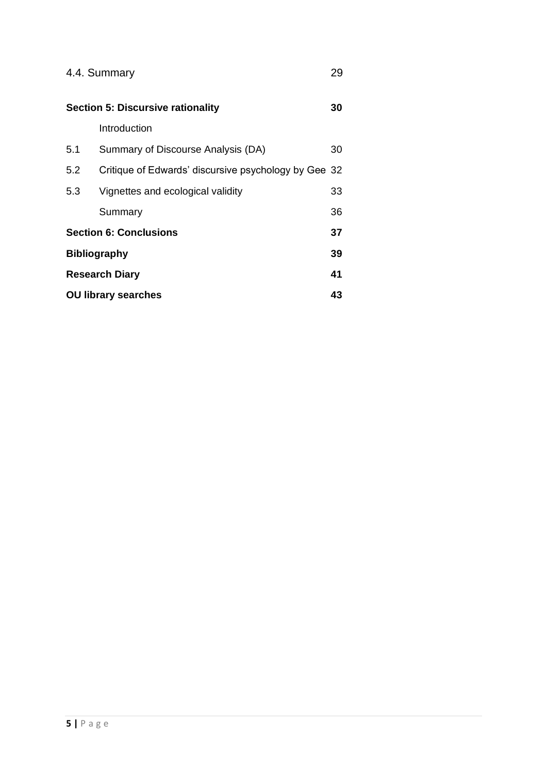|                            | 4.4. Summary                                         | 29 |
|----------------------------|------------------------------------------------------|----|
|                            | <b>Section 5: Discursive rationality</b>             | 30 |
|                            | Introduction                                         |    |
| 5.1                        | Summary of Discourse Analysis (DA)                   | 30 |
| 5.2                        | Critique of Edwards' discursive psychology by Gee 32 |    |
| 5.3                        | Vignettes and ecological validity                    | 33 |
|                            | Summary                                              | 36 |
|                            | <b>Section 6: Conclusions</b>                        | 37 |
|                            | <b>Bibliography</b>                                  | 39 |
|                            | <b>Research Diary</b>                                | 41 |
| <b>OU library searches</b> |                                                      | 43 |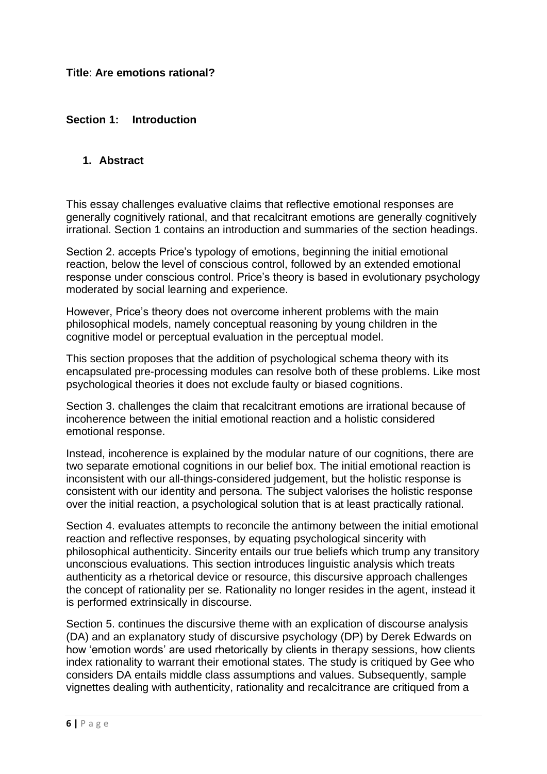### **Section 1: Introduction**

#### **1. Abstract**

This essay challenges evaluative claims that reflective emotional responses are generally cognitively rational, and that recalcitrant emotions are generally cognitively irrational. Section 1 contains an introduction and summaries of the section headings.

Section 2. accepts Price's typology of emotions, beginning the initial emotional reaction, below the level of conscious control, followed by an extended emotional response under conscious control. Price's theory is based in evolutionary psychology moderated by social learning and experience.

However, Price's theory does not overcome inherent problems with the main philosophical models, namely conceptual reasoning by young children in the cognitive model or perceptual evaluation in the perceptual model.

This section proposes that the addition of psychological schema theory with its encapsulated pre-processing modules can resolve both of these problems. Like most psychological theories it does not exclude faulty or biased cognitions.

Section 3. challenges the claim that recalcitrant emotions are irrational because of incoherence between the initial emotional reaction and a holistic considered emotional response.

Instead, incoherence is explained by the modular nature of our cognitions, there are two separate emotional cognitions in our belief box. The initial emotional reaction is inconsistent with our all-things-considered judgement, but the holistic response is consistent with our identity and persona. The subject valorises the holistic response over the initial reaction, a psychological solution that is at least practically rational.

Section 4. evaluates attempts to reconcile the antimony between the initial emotional reaction and reflective responses, by equating psychological sincerity with philosophical authenticity. Sincerity entails our true beliefs which trump any transitory unconscious evaluations. This section introduces linguistic analysis which treats authenticity as a rhetorical device or resource, this discursive approach challenges the concept of rationality per se. Rationality no longer resides in the agent, instead it is performed extrinsically in discourse.

Section 5. continues the discursive theme with an explication of discourse analysis (DA) and an explanatory study of discursive psychology (DP) by Derek Edwards on how 'emotion words' are used rhetorically by clients in therapy sessions, how clients index rationality to warrant their emotional states. The study is critiqued by Gee who considers DA entails middle class assumptions and values. Subsequently, sample vignettes dealing with authenticity, rationality and recalcitrance are critiqued from a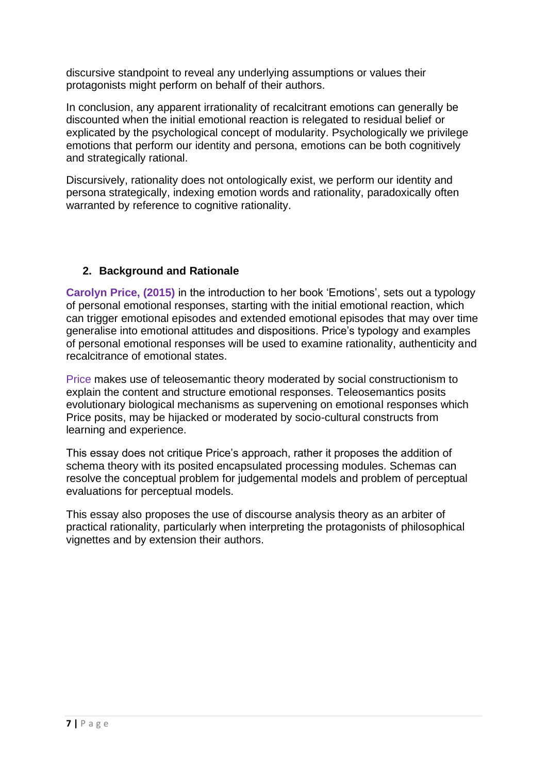discursive standpoint to reveal any underlying assumptions or values their protagonists might perform on behalf of their authors.

In conclusion, any apparent irrationality of recalcitrant emotions can generally be discounted when the initial emotional reaction is relegated to residual belief or explicated by the psychological concept of modularity. Psychologically we privilege emotions that perform our identity and persona, emotions can be both cognitively and strategically rational.

Discursively, rationality does not ontologically exist, we perform our identity and persona strategically, indexing emotion words and rationality, paradoxically often warranted by reference to cognitive rationality.

## **2. Background and Rationale**

**Carolyn Price, (2015)** in the introduction to her book 'Emotions', sets out a typology of personal emotional responses, starting with the initial emotional reaction, which can trigger emotional episodes and extended emotional episodes that may over time generalise into emotional attitudes and dispositions. Price's typology and examples of personal emotional responses will be used to examine rationality, authenticity and recalcitrance of emotional states.

Price makes use of teleosemantic theory moderated by social constructionism to explain the content and structure emotional responses. Teleosemantics posits evolutionary biological mechanisms as supervening on emotional responses which Price posits, may be hijacked or moderated by socio-cultural constructs from learning and experience.

This essay does not critique Price's approach, rather it proposes the addition of schema theory with its posited encapsulated processing modules. Schemas can resolve the conceptual problem for judgemental models and problem of perceptual evaluations for perceptual models.

This essay also proposes the use of discourse analysis theory as an arbiter of practical rationality, particularly when interpreting the protagonists of philosophical vignettes and by extension their authors.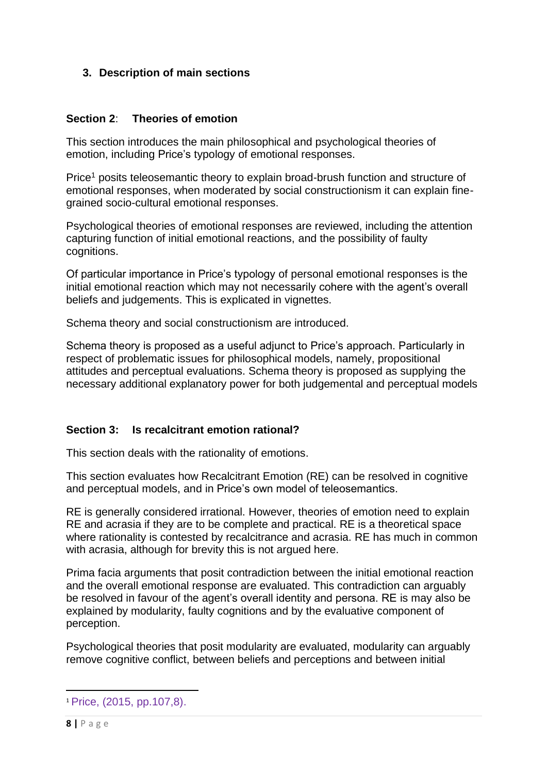## **3. Description of main sections**

### **Section 2**: **Theories of emotion**

This section introduces the main philosophical and psychological theories of emotion, including Price's typology of emotional responses.

Price<sup>1</sup> posits teleosemantic theory to explain broad-brush function and structure of emotional responses, when moderated by social constructionism it can explain finegrained socio-cultural emotional responses.

Psychological theories of emotional responses are reviewed, including the attention capturing function of initial emotional reactions, and the possibility of faulty cognitions.

Of particular importance in Price's typology of personal emotional responses is the initial emotional reaction which may not necessarily cohere with the agent's overall beliefs and judgements. This is explicated in vignettes.

Schema theory and social constructionism are introduced.

Schema theory is proposed as a useful adjunct to Price's approach. Particularly in respect of problematic issues for philosophical models, namely, propositional attitudes and perceptual evaluations. Schema theory is proposed as supplying the necessary additional explanatory power for both judgemental and perceptual models

#### **Section 3: Is recalcitrant emotion rational?**

This section deals with the rationality of emotions.

This section evaluates how Recalcitrant Emotion (RE) can be resolved in cognitive and perceptual models, and in Price's own model of teleosemantics.

RE is generally considered irrational. However, theories of emotion need to explain RE and acrasia if they are to be complete and practical. RE is a theoretical space where rationality is contested by recalcitrance and acrasia. RE has much in common with acrasia, although for brevity this is not argued here.

Prima facia arguments that posit contradiction between the initial emotional reaction and the overall emotional response are evaluated. This contradiction can arguably be resolved in favour of the agent's overall identity and persona. RE is may also be explained by modularity, faulty cognitions and by the evaluative component of perception.

Psychological theories that posit modularity are evaluated, modularity can arguably remove cognitive conflict, between beliefs and perceptions and between initial

<sup>1</sup> Price, (2015, pp.107,8).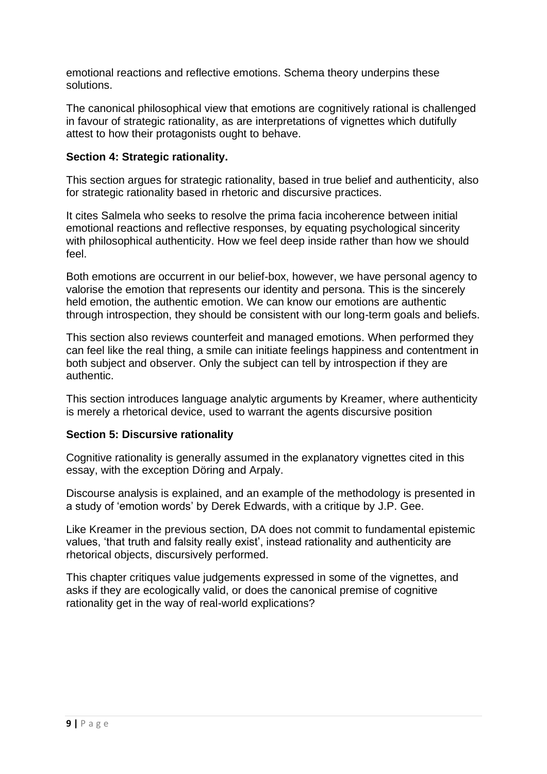emotional reactions and reflective emotions. Schema theory underpins these solutions.

The canonical philosophical view that emotions are cognitively rational is challenged in favour of strategic rationality, as are interpretations of vignettes which dutifully attest to how their protagonists ought to behave.

### **Section 4: Strategic rationality.**

This section argues for strategic rationality, based in true belief and authenticity, also for strategic rationality based in rhetoric and discursive practices.

It cites Salmela who seeks to resolve the prima facia incoherence between initial emotional reactions and reflective responses, by equating psychological sincerity with philosophical authenticity. How we feel deep inside rather than how we should feel.

Both emotions are occurrent in our belief-box, however, we have personal agency to valorise the emotion that represents our identity and persona. This is the sincerely held emotion, the authentic emotion. We can know our emotions are authentic through introspection, they should be consistent with our long-term goals and beliefs.

This section also reviews counterfeit and managed emotions. When performed they can feel like the real thing, a smile can initiate feelings happiness and contentment in both subject and observer. Only the subject can tell by introspection if they are authentic.

This section introduces language analytic arguments by Kreamer, where authenticity is merely a rhetorical device, used to warrant the agents discursive position

#### **Section 5: Discursive rationality**

Cognitive rationality is generally assumed in the explanatory vignettes cited in this essay, with the exception Döring and Arpaly.

Discourse analysis is explained, and an example of the methodology is presented in a study of 'emotion words' by Derek Edwards, with a critique by J.P. Gee.

Like Kreamer in the previous section, DA does not commit to fundamental epistemic values, 'that truth and falsity really exist', instead rationality and authenticity are rhetorical objects, discursively performed.

This chapter critiques value judgements expressed in some of the vignettes, and asks if they are ecologically valid, or does the canonical premise of cognitive rationality get in the way of real-world explications?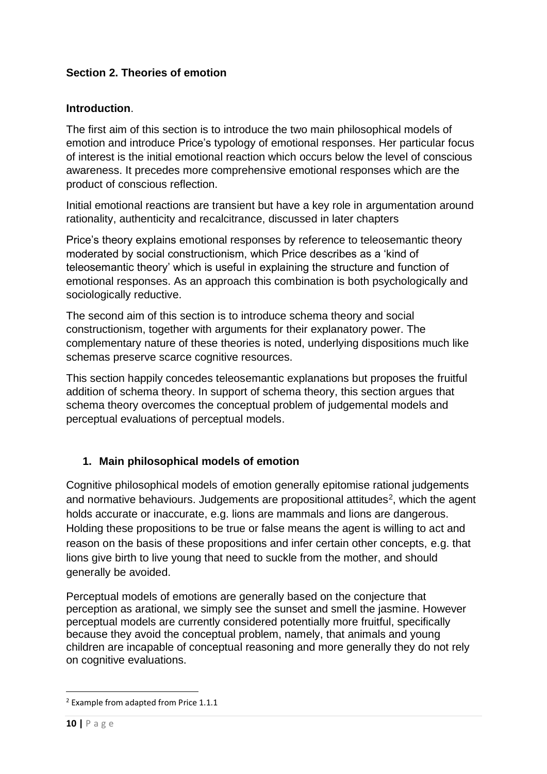## **Section 2. Theories of emotion**

### **Introduction**.

The first aim of this section is to introduce the two main philosophical models of emotion and introduce Price's typology of emotional responses. Her particular focus of interest is the initial emotional reaction which occurs below the level of conscious awareness. It precedes more comprehensive emotional responses which are the product of conscious reflection.

Initial emotional reactions are transient but have a key role in argumentation around rationality, authenticity and recalcitrance, discussed in later chapters

Price's theory explains emotional responses by reference to teleosemantic theory moderated by social constructionism, which Price describes as a 'kind of teleosemantic theory' which is useful in explaining the structure and function of emotional responses. As an approach this combination is both psychologically and sociologically reductive.

The second aim of this section is to introduce schema theory and social constructionism, together with arguments for their explanatory power. The complementary nature of these theories is noted, underlying dispositions much like schemas preserve scarce cognitive resources.

This section happily concedes teleosemantic explanations but proposes the fruitful addition of schema theory. In support of schema theory, this section argues that schema theory overcomes the conceptual problem of judgemental models and perceptual evaluations of perceptual models.

# **1. Main philosophical models of emotion**

Cognitive philosophical models of emotion generally epitomise rational judgements and normative behaviours. Judgements are propositional attitudes<sup>2</sup>, which the agent holds accurate or inaccurate, e.g. lions are mammals and lions are dangerous. Holding these propositions to be true or false means the agent is willing to act and reason on the basis of these propositions and infer certain other concepts, e.g. that lions give birth to live young that need to suckle from the mother, and should generally be avoided.

Perceptual models of emotions are generally based on the conjecture that perception as arational, we simply see the sunset and smell the jasmine. However perceptual models are currently considered potentially more fruitful, specifically because they avoid the conceptual problem, namely, that animals and young children are incapable of conceptual reasoning and more generally they do not rely on cognitive evaluations.

<sup>2</sup> Example from adapted from Price 1.1.1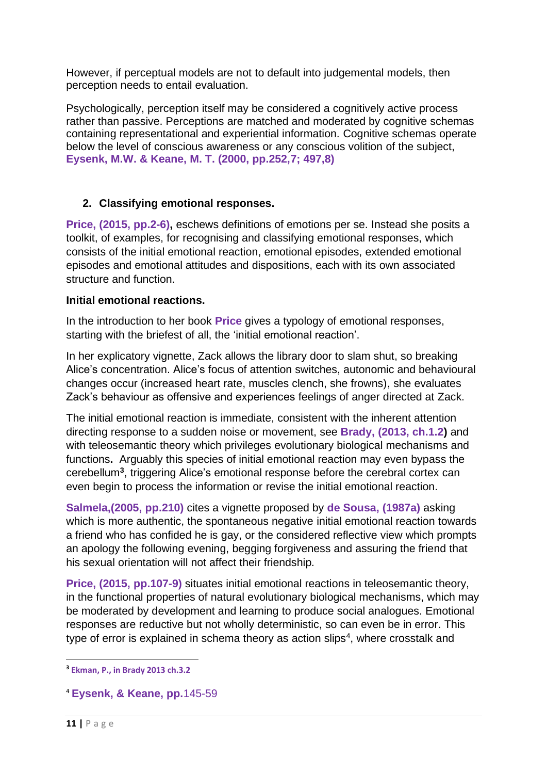However, if perceptual models are not to default into judgemental models, then perception needs to entail evaluation.

Psychologically, perception itself may be considered a cognitively active process rather than passive. Perceptions are matched and moderated by cognitive schemas containing representational and experiential information. Cognitive schemas operate below the level of conscious awareness or any conscious volition of the subject, **Eysenk, M.W. & Keane, M. T. (2000, pp.252,7; 497,8)**

## **2. Classifying emotional responses.**

**Price, (2015, pp.2-6),** eschews definitions of emotions per se. Instead she posits a toolkit, of examples, for recognising and classifying emotional responses, which consists of the initial emotional reaction, emotional episodes, extended emotional episodes and emotional attitudes and dispositions, each with its own associated structure and function.

### **Initial emotional reactions.**

In the introduction to her book **Price** gives a typology of emotional responses, starting with the briefest of all, the 'initial emotional reaction'.

In her explicatory vignette, Zack allows the library door to slam shut, so breaking Alice's concentration. Alice's focus of attention switches, autonomic and behavioural changes occur (increased heart rate, muscles clench, she frowns), she evaluates Zack's behaviour as offensive and experiences feelings of anger directed at Zack.

The initial emotional reaction is immediate, consistent with the inherent attention directing response to a sudden noise or movement, see **Brady, (2013, ch.1.2)** and with teleosemantic theory which privileges evolutionary biological mechanisms and functions**.** Arguably this species of initial emotional reaction may even bypass the cerebellum**<sup>3</sup>** , triggering Alice's emotional response before the cerebral cortex can even begin to process the information or revise the initial emotional reaction.

**Salmela,(2005, pp.210)** cites a vignette proposed by **de Sousa, (1987a)** asking which is more authentic, the spontaneous negative initial emotional reaction towards a friend who has confided he is gay, or the considered reflective view which prompts an apology the following evening, begging forgiveness and assuring the friend that his sexual orientation will not affect their friendship*.*

**Price, (2015, pp.107-9)** situates initial emotional reactions in teleosemantic theory, in the functional properties of natural evolutionary biological mechanisms, which may be moderated by development and learning to produce social analogues. Emotional responses are reductive but not wholly deterministic, so can even be in error. This type of error is explained in schema theory as action slips<sup>4</sup>, where crosstalk and

**<sup>3</sup> Ekman, P., in Brady 2013 ch.3.2**

<sup>4</sup> **Eysenk, & Keane, pp.**145-59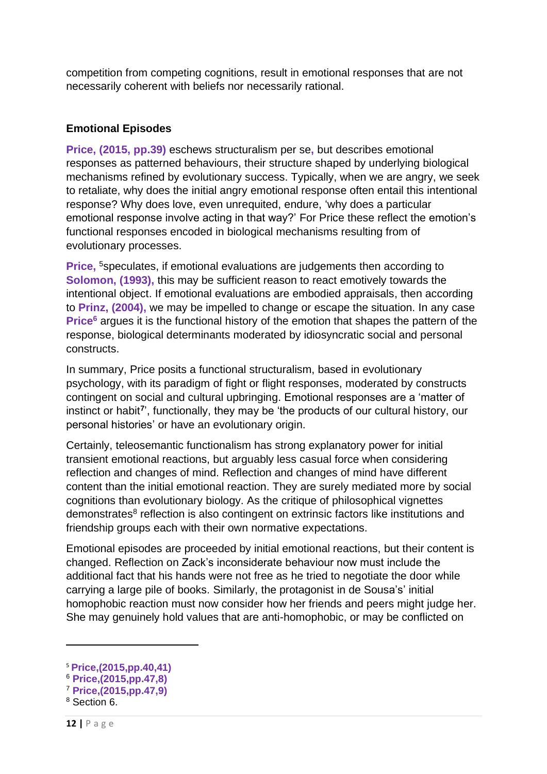competition from competing cognitions, result in emotional responses that are not necessarily coherent with beliefs nor necessarily rational.

## **Emotional Episodes**

**Price, (2015, pp.39)** eschews structuralism per se**,** but describes emotional responses as patterned behaviours, their structure shaped by underlying biological mechanisms refined by evolutionary success. Typically, when we are angry, we seek to retaliate, why does the initial angry emotional response often entail this intentional response? Why does love, even unrequited, endure, 'why does a particular emotional response involve acting in that way?' For Price these reflect the emotion's functional responses encoded in biological mechanisms resulting from of evolutionary processes.

**Price, <sup>5</sup>speculates, if emotional evaluations are judgements then according to Solomon, (1993),** this may be sufficient reason to react emotively towards the intentional object. If emotional evaluations are embodied appraisals, then according to **Prinz, (2004),** we may be impelled to change or escape the situation. In any case **Price<sup>6</sup>** argues it is the functional history of the emotion that shapes the pattern of the response, biological determinants moderated by idiosyncratic social and personal constructs.

In summary, Price posits a functional structuralism, based in evolutionary psychology, with its paradigm of fight or flight responses, moderated by constructs contingent on social and cultural upbringing. Emotional responses are a 'matter of instinct or habit<sup>7</sup>', functionally, they may be 'the products of our cultural history, our personal histories' or have an evolutionary origin.

Certainly, teleosemantic functionalism has strong explanatory power for initial transient emotional reactions, but arguably less casual force when considering reflection and changes of mind. Reflection and changes of mind have different content than the initial emotional reaction. They are surely mediated more by social cognitions than evolutionary biology. As the critique of philosophical vignettes demonstrates<sup>8</sup> reflection is also contingent on extrinsic factors like institutions and friendship groups each with their own normative expectations.

Emotional episodes are proceeded by initial emotional reactions, but their content is changed. Reflection on Zack's inconsiderate behaviour now must include the additional fact that his hands were not free as he tried to negotiate the door while carrying a large pile of books. Similarly, the protagonist in de Sousa's' initial homophobic reaction must now consider how her friends and peers might judge her. She may genuinely hold values that are anti-homophobic, or may be conflicted on

<sup>5</sup> **Price,(2015,pp.40,41)**

<sup>6</sup> **Price,(2015,pp.47,8)**

<sup>7</sup> **Price,(2015,pp.47,9)**

<sup>8</sup> Section 6.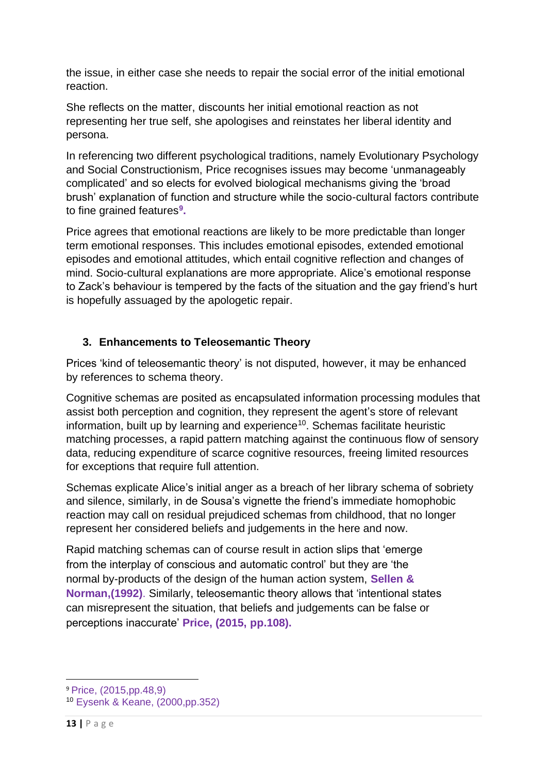the issue, in either case she needs to repair the social error of the initial emotional reaction.

She reflects on the matter, discounts her initial emotional reaction as not representing her true self, she apologises and reinstates her liberal identity and persona.

In referencing two different psychological traditions, namely Evolutionary Psychology and Social Constructionism, Price recognises issues may become 'unmanageably complicated' and so elects for evolved biological mechanisms giving the 'broad brush' explanation of function and structure while the socio-cultural factors contribute to fine grained features**<sup>9</sup> .** 

Price agrees that emotional reactions are likely to be more predictable than longer term emotional responses. This includes emotional episodes, extended emotional episodes and emotional attitudes, which entail cognitive reflection and changes of mind. Socio-cultural explanations are more appropriate. Alice's emotional response to Zack's behaviour is tempered by the facts of the situation and the gay friend's hurt is hopefully assuaged by the apologetic repair.

## **3. Enhancements to Teleosemantic Theory**

Prices 'kind of teleosemantic theory' is not disputed, however, it may be enhanced by references to schema theory.

Cognitive schemas are posited as encapsulated information processing modules that assist both perception and cognition, they represent the agent's store of relevant information, built up by learning and experience<sup>10</sup>. Schemas facilitate heuristic matching processes, a rapid pattern matching against the continuous flow of sensory data, reducing expenditure of scarce cognitive resources, freeing limited resources for exceptions that require full attention.

Schemas explicate Alice's initial anger as a breach of her library schema of sobriety and silence, similarly, in de Sousa's vignette the friend's immediate homophobic reaction may call on residual prejudiced schemas from childhood, that no longer represent her considered beliefs and judgements in the here and now.

Rapid matching schemas can of course result in action slips that 'emerge from the interplay of conscious and automatic control' but they are 'the normal by-products of the design of the human action system, **Sellen & Norman,(1992)**. Similarly, teleosemantic theory allows that 'intentional states can misrepresent the situation, that beliefs and judgements can be false or perceptions inaccurate' **Price, (2015, pp.108).**

<sup>9</sup> Price, (2015,pp.48,9)

<sup>10</sup> Eysenk & Keane, (2000,pp.352)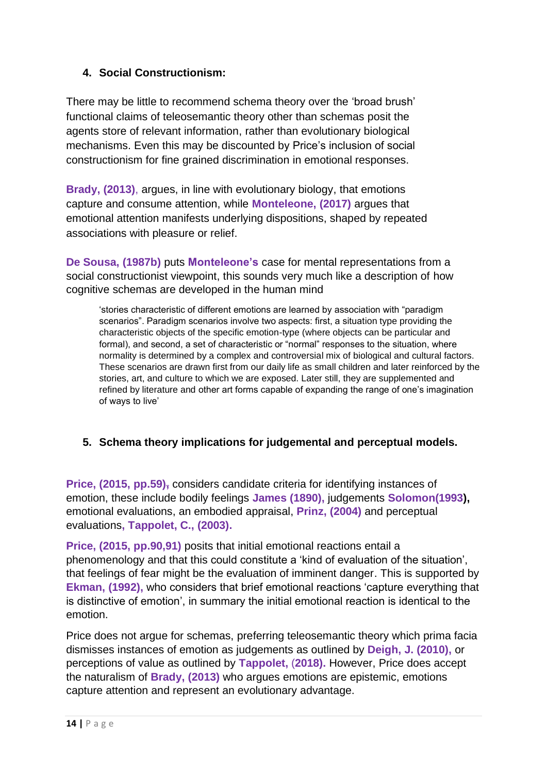## **4. Social Constructionism:**

There may be little to recommend schema theory over the 'broad brush' functional claims of teleosemantic theory other than schemas posit the agents store of relevant information, rather than evolutionary biological mechanisms. Even this may be discounted by Price's inclusion of social constructionism for fine grained discrimination in emotional responses.

**Brady, (2013)**, argues, in line with evolutionary biology, that emotions capture and consume attention, while **Monteleone, (2017)** argues that emotional attention manifests underlying dispositions, shaped by repeated associations with pleasure or relief.

**De Sousa, (1987b)** puts **Monteleone's** case for mental representations from a social constructionist viewpoint, this sounds very much like a description of how cognitive schemas are developed in the human mind

'stories characteristic of different emotions are learned by association with "paradigm scenarios". Paradigm scenarios involve two aspects: first, a situation type providing the characteristic objects of the specific emotion-type (where objects can be particular and formal), and second, a set of characteristic or "normal" responses to the situation, where normality is determined by a complex and controversial mix of biological and cultural factors. These scenarios are drawn first from our daily life as small children and later reinforced by the stories, art, and culture to which we are exposed. Later still, they are supplemented and refined by literature and other art forms capable of expanding the range of one's imagination of ways to live'

## **5. Schema theory implications for judgemental and perceptual models.**

**Price, (2015, pp.59),** considers candidate criteria for identifying instances of emotion, these include bodily feelings **James (1890),** judgements **Solomon(1993),** emotional evaluations, an embodied appraisal, **Prinz, (2004)** and perceptual evaluations**, Tappolet, C., (2003).** 

**Price, (2015, pp.90,91)** posits that initial emotional reactions entail a phenomenology and that this could constitute a 'kind of evaluation of the situation', that feelings of fear might be the evaluation of imminent danger. This is supported by **Ekman, (1992),** who considers that brief emotional reactions 'capture everything that is distinctive of emotion', in summary the initial emotional reaction is identical to the emotion.

Price does not argue for schemas, preferring teleosemantic theory which prima facia dismisses instances of emotion as judgements as outlined by **Deigh, J. (2010),** or perceptions of value as outlined by **Tappolet,** (**2018).** However, Price does accept the naturalism of **Brady, (2013)** who argues emotions are epistemic, emotions capture attention and represent an evolutionary advantage.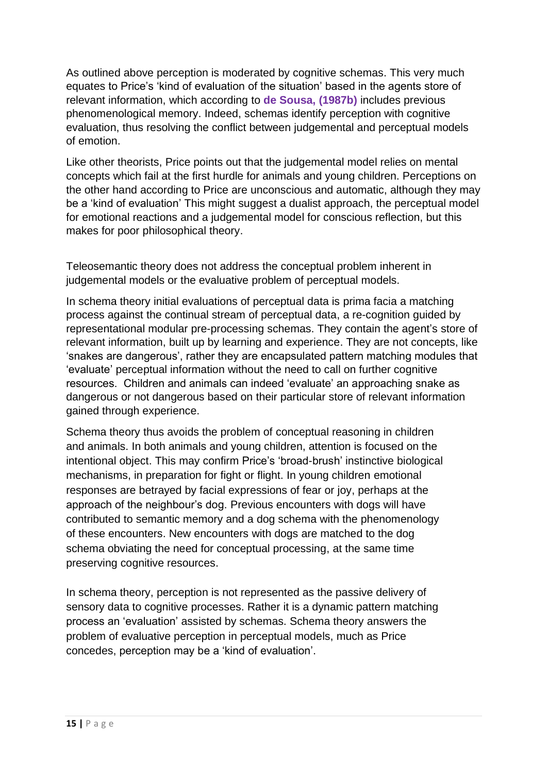As outlined above perception is moderated by cognitive schemas. This very much equates to Price's 'kind of evaluation of the situation' based in the agents store of relevant information, which according to **de Sousa, (1987b)** includes previous phenomenological memory. Indeed, schemas identify perception with cognitive evaluation, thus resolving the conflict between judgemental and perceptual models of emotion.

Like other theorists, Price points out that the judgemental model relies on mental concepts which fail at the first hurdle for animals and young children. Perceptions on the other hand according to Price are unconscious and automatic, although they may be a 'kind of evaluation' This might suggest a dualist approach, the perceptual model for emotional reactions and a judgemental model for conscious reflection, but this makes for poor philosophical theory.

Teleosemantic theory does not address the conceptual problem inherent in judgemental models or the evaluative problem of perceptual models.

In schema theory initial evaluations of perceptual data is prima facia a matching process against the continual stream of perceptual data, a re-cognition guided by representational modular pre-processing schemas. They contain the agent's store of relevant information, built up by learning and experience. They are not concepts, like 'snakes are dangerous', rather they are encapsulated pattern matching modules that 'evaluate' perceptual information without the need to call on further cognitive resources. Children and animals can indeed 'evaluate' an approaching snake as dangerous or not dangerous based on their particular store of relevant information gained through experience.

Schema theory thus avoids the problem of conceptual reasoning in children and animals. In both animals and young children, attention is focused on the intentional object. This may confirm Price's 'broad-brush' instinctive biological mechanisms, in preparation for fight or flight. In young children emotional responses are betrayed by facial expressions of fear or joy, perhaps at the approach of the neighbour's dog. Previous encounters with dogs will have contributed to semantic memory and a dog schema with the phenomenology of these encounters. New encounters with dogs are matched to the dog schema obviating the need for conceptual processing, at the same time preserving cognitive resources.

In schema theory, perception is not represented as the passive delivery of sensory data to cognitive processes. Rather it is a dynamic pattern matching process an 'evaluation' assisted by schemas. Schema theory answers the problem of evaluative perception in perceptual models, much as Price concedes, perception may be a 'kind of evaluation'.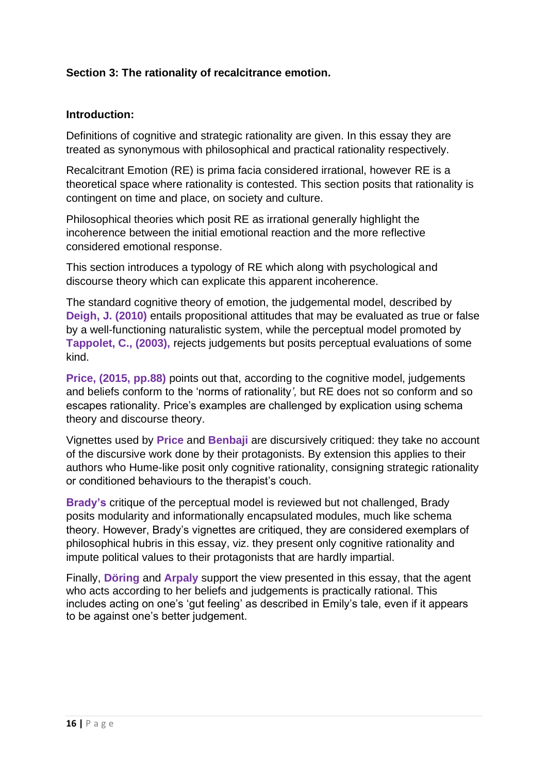## **Section 3: The rationality of recalcitrance emotion.**

### **Introduction:**

Definitions of cognitive and strategic rationality are given. In this essay they are treated as synonymous with philosophical and practical rationality respectively.

Recalcitrant Emotion (RE) is prima facia considered irrational, however RE is a theoretical space where rationality is contested. This section posits that rationality is contingent on time and place, on society and culture.

Philosophical theories which posit RE as irrational generally highlight the incoherence between the initial emotional reaction and the more reflective considered emotional response.

This section introduces a typology of RE which along with psychological and discourse theory which can explicate this apparent incoherence.

The standard cognitive theory of emotion, the judgemental model, described by **Deigh, J. (2010)** entails propositional attitudes that may be evaluated as true or false by a well-functioning naturalistic system, while the perceptual model promoted by **Tappolet, C., (2003),** rejects judgements but posits perceptual evaluations of some kind.

**Price, (2015, pp.88)** points out that, according to the cognitive model, judgements and beliefs conform to the 'norms of rationality*',* but RE does not so conform and so escapes rationality. Price's examples are challenged by explication using schema theory and discourse theory.

Vignettes used by **Price** and **Benbaji** are discursively critiqued: they take no account of the discursive work done by their protagonists. By extension this applies to their authors who Hume-like posit only cognitive rationality, consigning strategic rationality or conditioned behaviours to the therapist's couch.

**Brady's** critique of the perceptual model is reviewed but not challenged, Brady posits modularity and informationally encapsulated modules, much like schema theory. However, Brady's vignettes are critiqued, they are considered exemplars of philosophical hubris in this essay, viz. they present only cognitive rationality and impute political values to their protagonists that are hardly impartial.

Finally, **Döring** and **Arpaly** support the view presented in this essay, that the agent who acts according to her beliefs and judgements is practically rational. This includes acting on one's 'gut feeling' as described in Emily's tale, even if it appears to be against one's better judgement.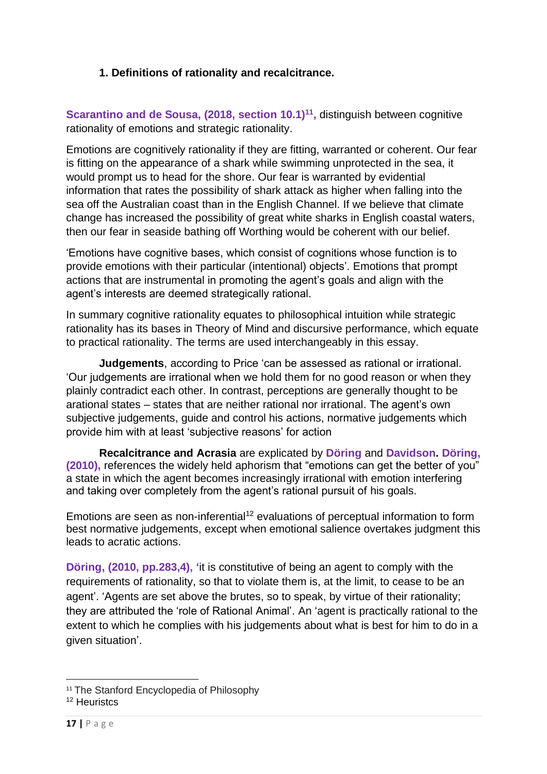## **1. Definitions of rationality and recalcitrance.**

**Scarantino and de Sousa, (2018, section 10.1)<sup>11</sup>, distinguish between cognitive** rationality of emotions and strategic rationality.

Emotions are cognitively rationality if they are fitting, warranted or coherent. Our fear is fitting on the appearance of a shark while swimming unprotected in the sea, it would prompt us to head for the shore. Our fear is warranted by evidential information that rates the possibility of shark attack as higher when falling into the sea off the Australian coast than in the English Channel. If we believe that climate change has increased the possibility of great white sharks in English coastal waters, then our fear in seaside bathing off Worthing would be coherent with our belief.

'Emotions have cognitive bases, which consist of cognitions whose function is to provide emotions with their particular (intentional) objects'. Emotions that prompt actions that are instrumental in promoting the agent's goals and align with the agent's interests are deemed strategically rational.

In summary cognitive rationality equates to philosophical intuition while strategic rationality has its bases in Theory of Mind and discursive performance, which equate to practical rationality. The terms are used interchangeably in this essay.

**Judgements**, according to Price 'can be assessed as rational or irrational. 'Our judgements are irrational when we hold them for no good reason or when they plainly contradict each other. In contrast, perceptions are generally thought to be arational states – states that are neither rational nor irrational. The agent's own subjective judgements, guide and control his actions, normative judgements which provide him with at least 'subjective reasons' for action

**Recalcitrance and Acrasia** are explicated by **Döring** and **Davidson. Döring, (2010),** references the widely held aphorism that "emotions can get the better of you" a state in which the agent becomes increasingly irrational with emotion interfering and taking over completely from the agent's rational pursuit of his goals.

Emotions are seen as non-inferential<sup>12</sup> evaluations of perceptual information to form best normative judgements, except when emotional salience overtakes judgment this leads to acratic actions.

**Döring, (2010, pp.283,4), '**it is constitutive of being an agent to comply with the requirements of rationality, so that to violate them is, at the limit, to cease to be an agent'. 'Agents are set above the brutes, so to speak, by virtue of their rationality; they are attributed the 'role of Rational Animal'. An 'agent is practically rational to the extent to which he complies with his judgements about what is best for him to do in a given situation'.

<sup>&</sup>lt;sup>11</sup> The Stanford Encyclopedia of Philosophy

<sup>&</sup>lt;sup>12</sup> Heuristcs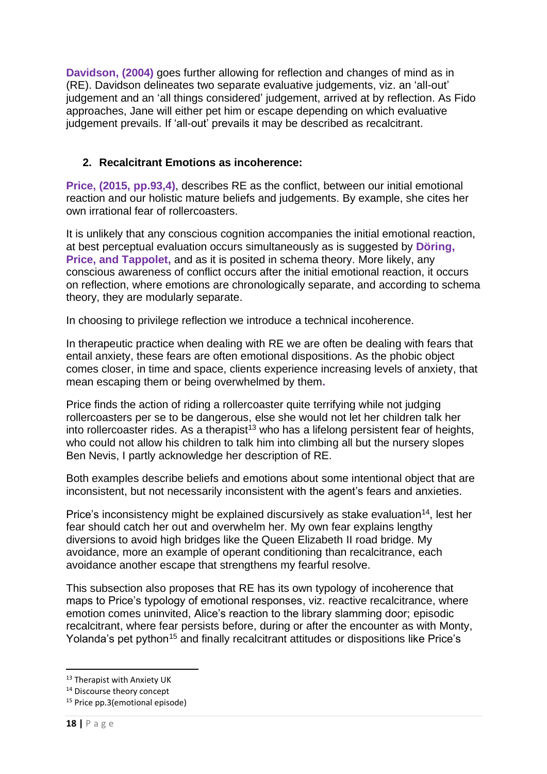**Davidson, (2004)** goes further allowing for reflection and changes of mind as in (RE). Davidson delineates two separate evaluative judgements, viz. an 'all-out' judgement and an 'all things considered' judgement, arrived at by reflection. As Fido approaches, Jane will either pet him or escape depending on which evaluative judgement prevails. If 'all-out' prevails it may be described as recalcitrant.

## **2. Recalcitrant Emotions as incoherence:**

**Price, (2015, pp.93,4)**, describes RE as the conflict, between our initial emotional reaction and our holistic mature beliefs and judgements. By example, she cites her own irrational fear of rollercoasters.

It is unlikely that any conscious cognition accompanies the initial emotional reaction, at best perceptual evaluation occurs simultaneously as is suggested by **Döring, Price, and Tappolet,** and as it is posited in schema theory. More likely, any conscious awareness of conflict occurs after the initial emotional reaction, it occurs on reflection, where emotions are chronologically separate, and according to schema theory, they are modularly separate.

In choosing to privilege reflection we introduce a technical incoherence.

In therapeutic practice when dealing with RE we are often be dealing with fears that entail anxiety, these fears are often emotional dispositions. As the phobic object comes closer, in time and space, clients experience increasing levels of anxiety, that mean escaping them or being overwhelmed by them**.**

Price finds the action of riding a rollercoaster quite terrifying while not judging rollercoasters per se to be dangerous, else she would not let her children talk her into rollercoaster rides. As a therapist<sup>13</sup> who has a lifelong persistent fear of heights, who could not allow his children to talk him into climbing all but the nursery slopes Ben Nevis, I partly acknowledge her description of RE.

Both examples describe beliefs and emotions about some intentional object that are inconsistent, but not necessarily inconsistent with the agent's fears and anxieties.

Price's inconsistency might be explained discursively as stake evaluation<sup>14</sup>, lest her fear should catch her out and overwhelm her. My own fear explains lengthy diversions to avoid high bridges like the Queen Elizabeth II road bridge. My avoidance, more an example of operant conditioning than recalcitrance, each avoidance another escape that strengthens my fearful resolve.

This subsection also proposes that RE has its own typology of incoherence that maps to Price's typology of emotional responses, viz. reactive recalcitrance, where emotion comes uninvited, Alice's reaction to the library slamming door; episodic recalcitrant, where fear persists before, during or after the encounter as with Monty, Yolanda's pet python<sup>15</sup> and finally recalcitrant attitudes or dispositions like Price's

<sup>&</sup>lt;sup>13</sup> Therapist with Anxiety UK

<sup>&</sup>lt;sup>14</sup> Discourse theory concept

<sup>&</sup>lt;sup>15</sup> Price pp.3(emotional episode)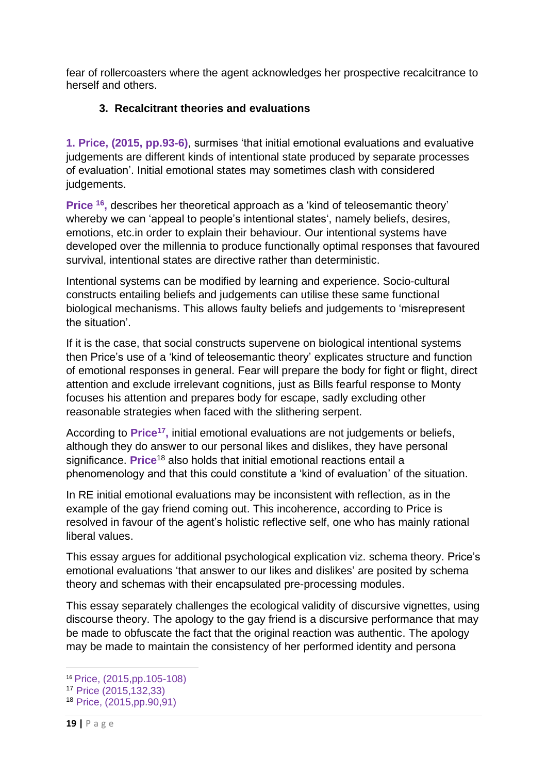fear of rollercoasters where the agent acknowledges her prospective recalcitrance to herself and others.

## **3. Recalcitrant theories and evaluations**

**1. Price, (2015, pp.93-6)**, surmises 'that initial emotional evaluations and evaluative judgements are different kinds of intentional state produced by separate processes of evaluation'. Initial emotional states may sometimes clash with considered judgements.

**Price <sup>16</sup> ,** describes her theoretical approach as a 'kind of teleosemantic theory' whereby we can 'appeal to people's intentional states', namely beliefs, desires, emotions, etc.in order to explain their behaviour. Our intentional systems have developed over the millennia to produce functionally optimal responses that favoured survival, intentional states are directive rather than deterministic.

Intentional systems can be modified by learning and experience. Socio-cultural constructs entailing beliefs and judgements can utilise these same functional biological mechanisms. This allows faulty beliefs and judgements to 'misrepresent the situation'.

If it is the case, that social constructs supervene on biological intentional systems then Price's use of a 'kind of teleosemantic theory' explicates structure and function of emotional responses in general. Fear will prepare the body for fight or flight, direct attention and exclude irrelevant cognitions, just as Bills fearful response to Monty focuses his attention and prepares body for escape, sadly excluding other reasonable strategies when faced with the slithering serpent.

According to Price<sup>17</sup>, initial emotional evaluations are not judgements or beliefs, although they do answer to our personal likes and dislikes, they have personal significance. **Price**<sup>18</sup> also holds that initial emotional reactions entail a phenomenology and that this could constitute a 'kind of evaluation' of the situation.

In RE initial emotional evaluations may be inconsistent with reflection, as in the example of the gay friend coming out. This incoherence, according to Price is resolved in favour of the agent's holistic reflective self, one who has mainly rational liberal values.

This essay argues for additional psychological explication viz. schema theory. Price's emotional evaluations 'that answer to our likes and dislikes' are posited by schema theory and schemas with their encapsulated pre-processing modules.

This essay separately challenges the ecological validity of discursive vignettes, using discourse theory. The apology to the gay friend is a discursive performance that may be made to obfuscate the fact that the original reaction was authentic. The apology may be made to maintain the consistency of her performed identity and persona

<sup>16</sup> Price, (2015,pp.105-108)

<sup>17</sup> Price (2015,132,33)

<sup>18</sup> Price, (2015,pp.90,91)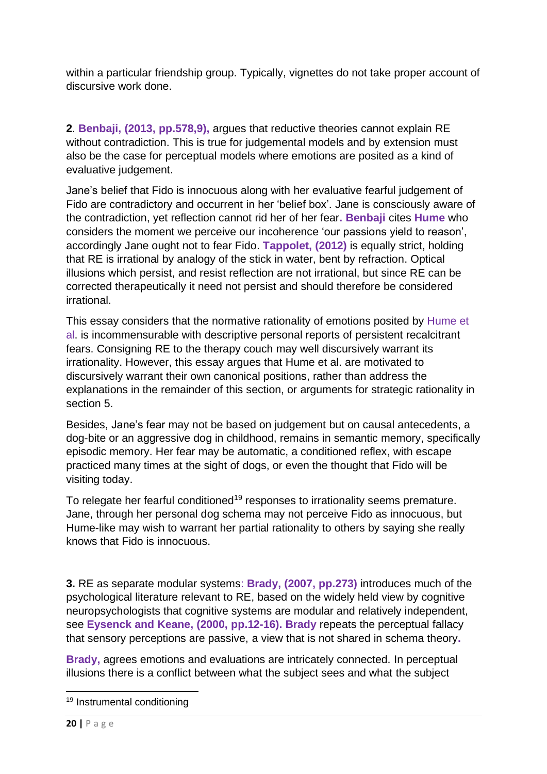within a particular friendship group. Typically, vignettes do not take proper account of discursive work done.

**2**. **Benbaji, (2013, pp.578,9),** argues that reductive theories cannot explain RE without contradiction. This is true for judgemental models and by extension must also be the case for perceptual models where emotions are posited as a kind of evaluative judgement.

Jane's belief that Fido is innocuous along with her evaluative fearful judgement of Fido are contradictory and occurrent in her 'belief box'. Jane is consciously aware of the contradiction, yet reflection cannot rid her of her fear**. Benbaji** cites **Hume** who considers the moment we perceive our incoherence 'our passions yield to reason', accordingly Jane ought not to fear Fido. **Tappolet, (2012)** is equally strict, holding that RE is irrational by analogy of the stick in water, bent by refraction. Optical illusions which persist, and resist reflection are not irrational, but since RE can be corrected therapeutically it need not persist and should therefore be considered irrational.

This essay considers that the normative rationality of emotions posited by Hume et al. is incommensurable with descriptive personal reports of persistent recalcitrant fears. Consigning RE to the therapy couch may well discursively warrant its irrationality. However, this essay argues that Hume et al. are motivated to discursively warrant their own canonical positions, rather than address the explanations in the remainder of this section, or arguments for strategic rationality in section 5.

Besides, Jane's fear may not be based on judgement but on causal antecedents, a dog-bite or an aggressive dog in childhood, remains in semantic memory, specifically episodic memory. Her fear may be automatic, a conditioned reflex, with escape practiced many times at the sight of dogs, or even the thought that Fido will be visiting today.

To relegate her fearful conditioned<sup>19</sup> responses to irrationality seems premature. Jane, through her personal dog schema may not perceive Fido as innocuous, but Hume-like may wish to warrant her partial rationality to others by saying she really knows that Fido is innocuous.

**3.** RE as separate modular systems: **Brady, (2007, pp.273)** introduces much of the psychological literature relevant to RE, based on the widely held view by cognitive neuropsychologists that cognitive systems are modular and relatively independent, see **Eysenck and Keane, (2000, pp.12-16). Brady** repeats the perceptual fallacy that sensory perceptions are passive, a view that is not shared in schema theory**.**

**Brady,** agrees emotions and evaluations are intricately connected. In perceptual illusions there is a conflict between what the subject sees and what the subject

<sup>19</sup> Instrumental conditioning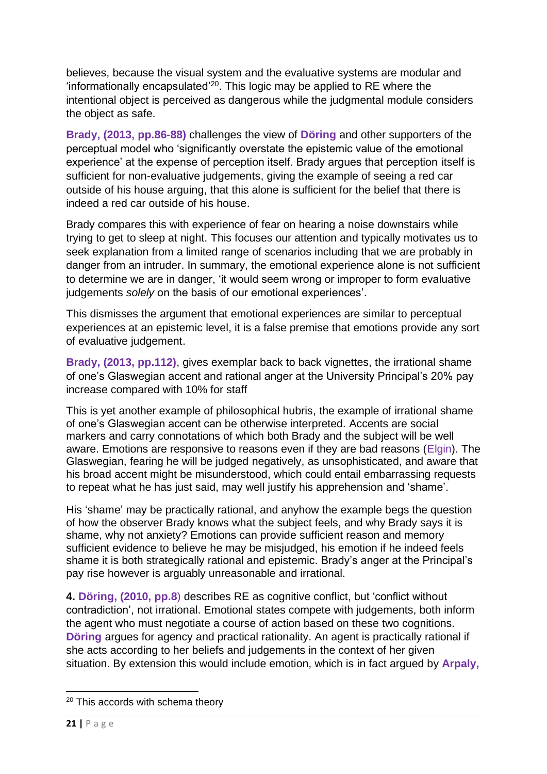believes, because the visual system and the evaluative systems are modular and 'informationally encapsulated' <sup>20</sup>. This logic may be applied to RE where the intentional object is perceived as dangerous while the judgmental module considers the object as safe.

**Brady, (2013, pp.86-88)** challenges the view of **Döring** and other supporters of the perceptual model who 'significantly overstate the epistemic value of the emotional experience' at the expense of perception itself. Brady argues that perception itself is sufficient for non-evaluative judgements, giving the example of seeing a red car outside of his house arguing, that this alone is sufficient for the belief that there is indeed a red car outside of his house.

Brady compares this with experience of fear on hearing a noise downstairs while trying to get to sleep at night. This focuses our attention and typically motivates us to seek explanation from a limited range of scenarios including that we are probably in danger from an intruder. In summary, the emotional experience alone is not sufficient to determine we are in danger, 'it would seem wrong or improper to form evaluative judgements *solely* on the basis of our emotional experiences'.

This dismisses the argument that emotional experiences are similar to perceptual experiences at an epistemic level, it is a false premise that emotions provide any sort of evaluative judgement.

**Brady, (2013, pp.112)**, gives exemplar back to back vignettes, the irrational shame of one's Glaswegian accent and rational anger at the University Principal's 20% pay increase compared with 10% for staff

This is yet another example of philosophical hubris, the example of irrational shame of one's Glaswegian accent can be otherwise interpreted. Accents are social markers and carry connotations of which both Brady and the subject will be well aware. Emotions are responsive to reasons even if they are bad reasons (Elgin). The Glaswegian, fearing he will be judged negatively, as unsophisticated, and aware that his broad accent might be misunderstood, which could entail embarrassing requests to repeat what he has just said, may well justify his apprehension and 'shame'.

His 'shame' may be practically rational, and anyhow the example begs the question of how the observer Brady knows what the subject feels, and why Brady says it is shame, why not anxiety? Emotions can provide sufficient reason and memory sufficient evidence to believe he may be misjudged, his emotion if he indeed feels shame it is both strategically rational and epistemic. Brady's anger at the Principal's pay rise however is arguably unreasonable and irrational.

**4. Döring, (2010, pp.8**) describes RE as cognitive conflict, but 'conflict without contradiction', not irrational. Emotional states compete with judgements, both inform the agent who must negotiate a course of action based on these two cognitions. **Döring** argues for agency and practical rationality. An agent is practically rational if she acts according to her beliefs and judgements in the context of her given situation. By extension this would include emotion, which is in fact argued by **Arpaly,** 

<sup>&</sup>lt;sup>20</sup> This accords with schema theory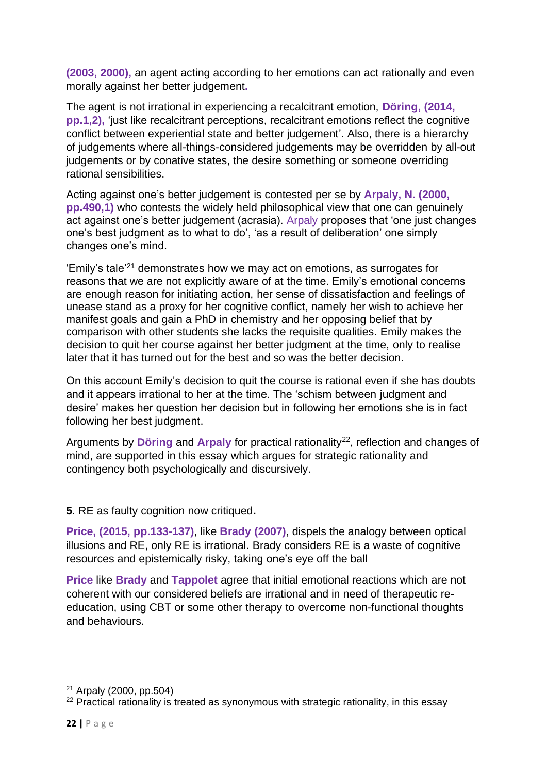**(2003, 2000),** an agent acting according to her emotions can act rationally and even morally against her better judgement**.**

The agent is not irrational in experiencing a recalcitrant emotion, **Döring, (2014, pp.1,2),** 'just like recalcitrant perceptions, recalcitrant emotions reflect the cognitive conflict between experiential state and better judgement'. Also, there is a hierarchy of judgements where all-things-considered judgements may be overridden by all-out judgements or by conative states, the desire something or someone overriding rational sensibilities.

Acting against one's better judgement is contested per se by **Arpaly, N. (2000, pp.490,1)** who contests the widely held philosophical view that one can genuinely act against one's better judgement (acrasia). Arpaly proposes that 'one just changes one's best judgment as to what to do', 'as a result of deliberation' one simply changes one's mind.

'Emily's tale'<sup>21</sup> demonstrates how we may act on emotions, as surrogates for reasons that we are not explicitly aware of at the time. Emily's emotional concerns are enough reason for initiating action, her sense of dissatisfaction and feelings of unease stand as a proxy for her cognitive conflict, namely her wish to achieve her manifest goals and gain a PhD in chemistry and her opposing belief that by comparison with other students she lacks the requisite qualities. Emily makes the decision to quit her course against her better judgment at the time, only to realise later that it has turned out for the best and so was the better decision.

On this account Emily's decision to quit the course is rational even if she has doubts and it appears irrational to her at the time. The 'schism between judgment and desire' makes her question her decision but in following her emotions she is in fact following her best judgment.

Arguments by **Döring** and **Arpaly** for practical rationality<sup>22</sup>, reflection and changes of mind, are supported in this essay which argues for strategic rationality and contingency both psychologically and discursively.

**5**. RE as faulty cognition now critiqued**.**

**Price, (2015, pp.133-137)**, like **Brady (2007)**, dispels the analogy between optical illusions and RE, only RE is irrational. Brady considers RE is a waste of cognitive resources and epistemically risky, taking one's eye off the ball

**Price** like **Brady** and **Tappolet** agree that initial emotional reactions which are not coherent with our considered beliefs are irrational and in need of therapeutic reeducation, using CBT or some other therapy to overcome non-functional thoughts and behaviours.

<sup>21</sup> Arpaly (2000, pp.504)

<sup>&</sup>lt;sup>22</sup> Practical rationality is treated as synonymous with strategic rationality, in this essay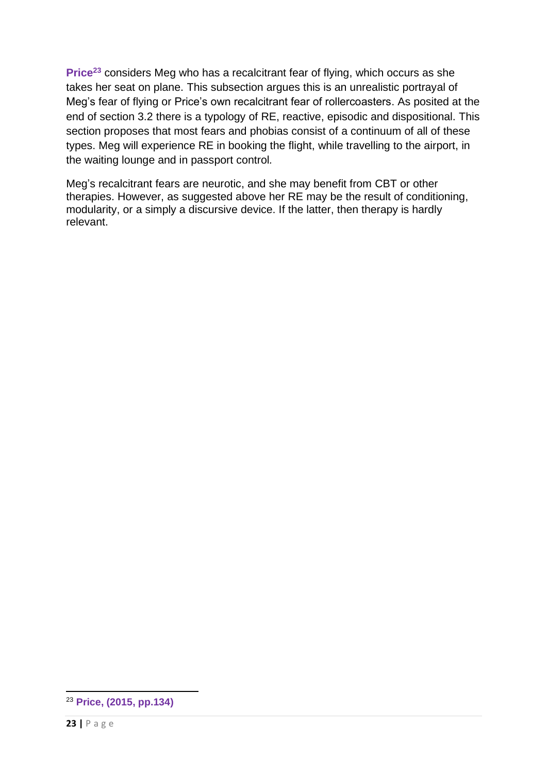**Price<sup>23</sup>** considers Meg who has a recalcitrant fear of flying, which occurs as she takes her seat on plane. This subsection argues this is an unrealistic portrayal of Meg's fear of flying or Price's own recalcitrant fear of rollercoasters. As posited at the end of section 3.2 there is a typology of RE, reactive, episodic and dispositional. This section proposes that most fears and phobias consist of a continuum of all of these types. Meg will experience RE in booking the flight, while travelling to the airport, in the waiting lounge and in passport control*.*

Meg's recalcitrant fears are neurotic, and she may benefit from CBT or other therapies. However, as suggested above her RE may be the result of conditioning, modularity, or a simply a discursive device. If the latter, then therapy is hardly relevant.

<sup>23</sup> **Price, (2015, pp.134)**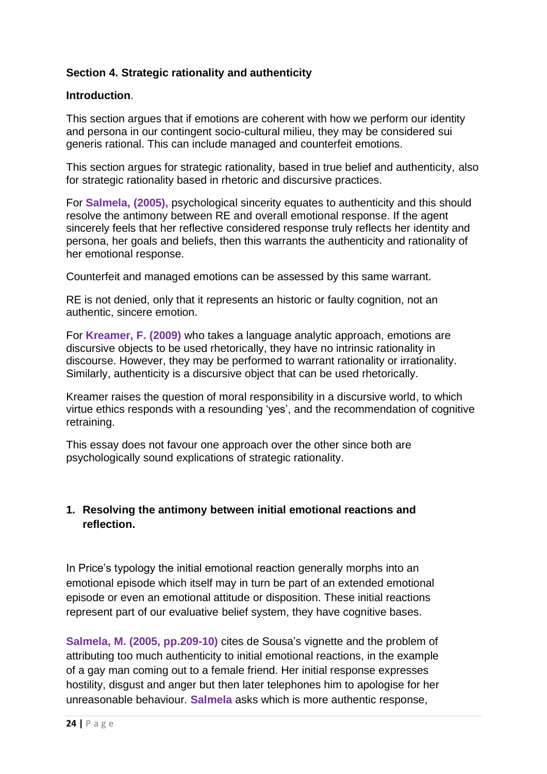## **Section 4. Strategic rationality and authenticity**

### **Introduction**.

This section argues that if emotions are coherent with how we perform our identity and persona in our contingent socio-cultural milieu, they may be considered sui generis rational. This can include managed and counterfeit emotions.

This section argues for strategic rationality, based in true belief and authenticity, also for strategic rationality based in rhetoric and discursive practices.

For **Salmela, (2005),** psychological sincerity equates to authenticity and this should resolve the antimony between RE and overall emotional response. If the agent sincerely feels that her reflective considered response truly reflects her identity and persona, her goals and beliefs, then this warrants the authenticity and rationality of her emotional response.

Counterfeit and managed emotions can be assessed by this same warrant.

RE is not denied, only that it represents an historic or faulty cognition, not an authentic, sincere emotion.

For **Kreamer, F. (2009)** who takes a language analytic approach, emotions are discursive objects to be used rhetorically, they have no intrinsic rationality in discourse. However, they may be performed to warrant rationality or irrationality. Similarly, authenticity is a discursive object that can be used rhetorically.

Kreamer raises the question of moral responsibility in a discursive world, to which virtue ethics responds with a resounding 'yes', and the recommendation of cognitive retraining.

This essay does not favour one approach over the other since both are psychologically sound explications of strategic rationality.

## **1. Resolving the antimony between initial emotional reactions and reflection.**

In Price's typology the initial emotional reaction generally morphs into an emotional episode which itself may in turn be part of an extended emotional episode or even an emotional attitude or disposition. These initial reactions represent part of our evaluative belief system, they have cognitive bases.

**Salmela, M. (2005, pp.209-10)** cites de Sousa's vignette and the problem of attributing too much authenticity to initial emotional reactions, in the example of a gay man coming out to a female friend. Her initial response expresses hostility, disgust and anger but then later telephones him to apologise for her unreasonable behaviour. **Salmela** asks which is more authentic response,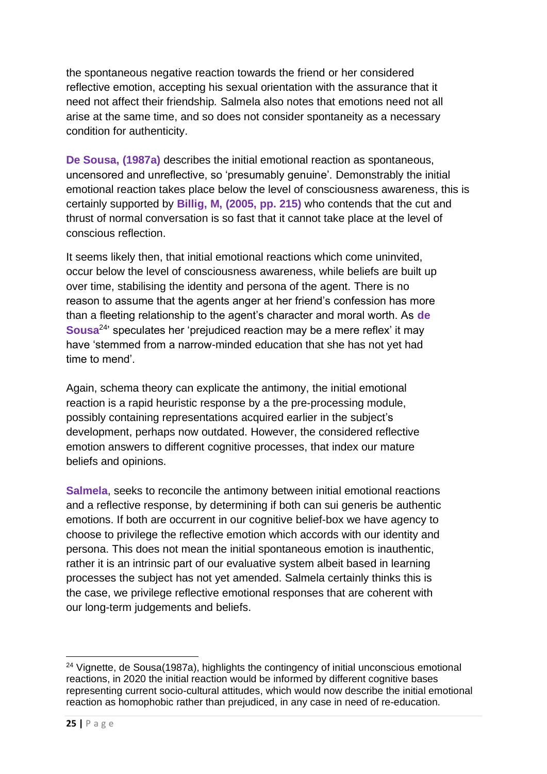the spontaneous negative reaction towards the friend or her considered reflective emotion, accepting his sexual orientation with the assurance that it need not affect their friendship*.* Salmela also notes that emotions need not all arise at the same time, and so does not consider spontaneity as a necessary condition for authenticity.

**De Sousa, (1987a)** describes the initial emotional reaction as spontaneous, uncensored and unreflective, so 'presumably genuine'. Demonstrably the initial emotional reaction takes place below the level of consciousness awareness, this is certainly supported by **Billig, M, (2005, pp. 215)** who contends that the cut and thrust of normal conversation is so fast that it cannot take place at the level of conscious reflection.

It seems likely then, that initial emotional reactions which come uninvited, occur below the level of consciousness awareness, while beliefs are built up over time, stabilising the identity and persona of the agent. There is no reason to assume that the agents anger at her friend's confession has more than a fleeting relationship to the agent's character and moral worth. As **de Sousa**<sup>24</sup> ' speculates her 'prejudiced reaction may be a mere reflex' it may have 'stemmed from a narrow-minded education that she has not yet had time to mend'.

Again, schema theory can explicate the antimony, the initial emotional reaction is a rapid heuristic response by a the pre-processing module, possibly containing representations acquired earlier in the subject's development, perhaps now outdated. However, the considered reflective emotion answers to different cognitive processes, that index our mature beliefs and opinions.

**Salmela**, seeks to reconcile the antimony between initial emotional reactions and a reflective response, by determining if both can sui generis be authentic emotions. If both are occurrent in our cognitive belief-box we have agency to choose to privilege the reflective emotion which accords with our identity and persona. This does not mean the initial spontaneous emotion is inauthentic, rather it is an intrinsic part of our evaluative system albeit based in learning processes the subject has not yet amended. Salmela certainly thinks this is the case, we privilege reflective emotional responses that are coherent with our long-term judgements and beliefs.

<sup>&</sup>lt;sup>24</sup> Vignette, de Sousa(1987a), highlights the contingency of initial unconscious emotional reactions, in 2020 the initial reaction would be informed by different cognitive bases representing current socio-cultural attitudes, which would now describe the initial emotional reaction as homophobic rather than prejudiced, in any case in need of re-education.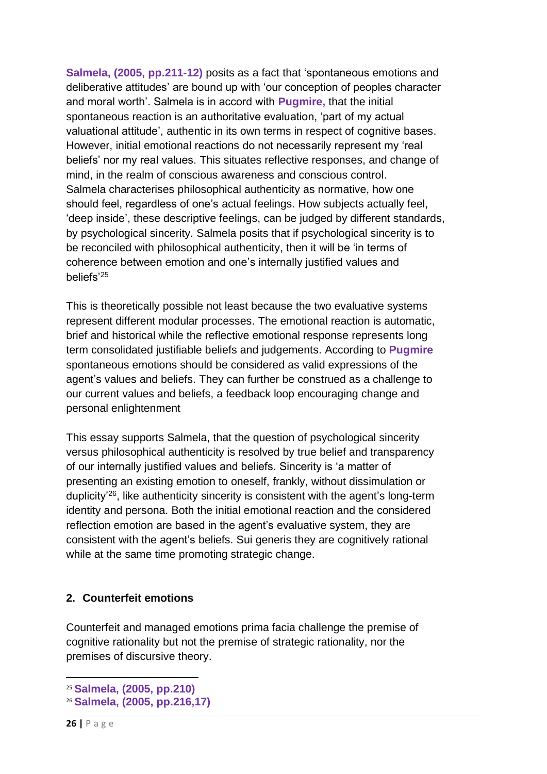**Salmela, (2005, pp.211-12)** posits as a fact that 'spontaneous emotions and deliberative attitudes' are bound up with 'our conception of peoples character and moral worth'. Salmela is in accord with **Pugmire,** that the initial spontaneous reaction is an authoritative evaluation, 'part of my actual valuational attitude', authentic in its own terms in respect of cognitive bases. However, initial emotional reactions do not necessarily represent my 'real beliefs' nor my real values. This situates reflective responses, and change of mind, in the realm of conscious awareness and conscious control. Salmela characterises philosophical authenticity as normative, how one should feel, regardless of one's actual feelings. How subjects actually feel, 'deep inside', these descriptive feelings, can be judged by different standards, by psychological sincerity. Salmela posits that if psychological sincerity is to be reconciled with philosophical authenticity, then it will be 'in terms of coherence between emotion and one's internally justified values and beliefs'<sup>25</sup>

This is theoretically possible not least because the two evaluative systems represent different modular processes. The emotional reaction is automatic, brief and historical while the reflective emotional response represents long term consolidated justifiable beliefs and judgements. According to **Pugmire**  spontaneous emotions should be considered as valid expressions of the agent's values and beliefs. They can further be construed as a challenge to our current values and beliefs, a feedback loop encouraging change and personal enlightenment

This essay supports Salmela, that the question of psychological sincerity versus philosophical authenticity is resolved by true belief and transparency of our internally justified values and beliefs. Sincerity is 'a matter of presenting an existing emotion to oneself, frankly, without dissimulation or duplicity<sup>'26</sup>, like authenticity sincerity is consistent with the agent's long-term identity and persona. Both the initial emotional reaction and the considered reflection emotion are based in the agent's evaluative system, they are consistent with the agent's beliefs. Sui generis they are cognitively rational while at the same time promoting strategic change.

## **2. Counterfeit emotions**

Counterfeit and managed emotions prima facia challenge the premise of cognitive rationality but not the premise of strategic rationality, nor the premises of discursive theory.

<sup>25</sup> **Salmela, (2005, pp.210)**

<sup>26</sup> **Salmela, (2005, pp.216,17)**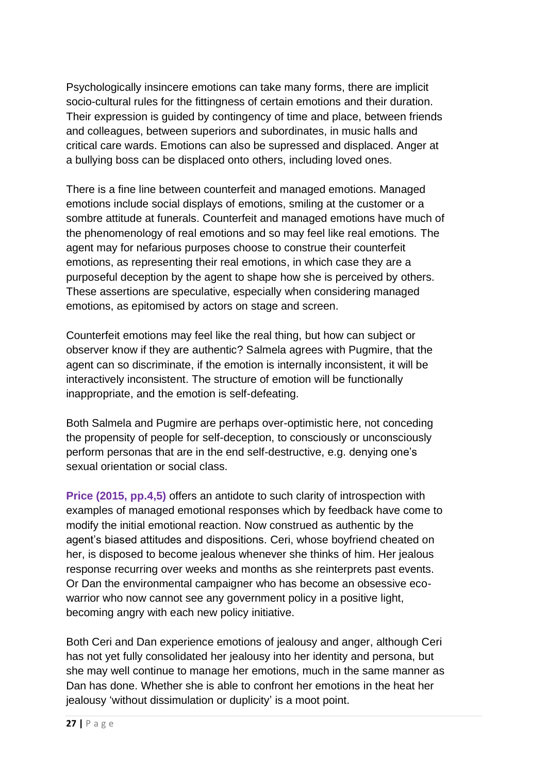Psychologically insincere emotions can take many forms, there are implicit socio-cultural rules for the fittingness of certain emotions and their duration. Their expression is guided by contingency of time and place, between friends and colleagues, between superiors and subordinates, in music halls and critical care wards. Emotions can also be supressed and displaced. Anger at a bullying boss can be displaced onto others, including loved ones.

There is a fine line between counterfeit and managed emotions. Managed emotions include social displays of emotions, smiling at the customer or a sombre attitude at funerals. Counterfeit and managed emotions have much of the phenomenology of real emotions and so may feel like real emotions. The agent may for nefarious purposes choose to construe their counterfeit emotions, as representing their real emotions, in which case they are a purposeful deception by the agent to shape how she is perceived by others. These assertions are speculative, especially when considering managed emotions, as epitomised by actors on stage and screen.

Counterfeit emotions may feel like the real thing, but how can subject or observer know if they are authentic? Salmela agrees with Pugmire, that the agent can so discriminate, if the emotion is internally inconsistent, it will be interactively inconsistent. The structure of emotion will be functionally inappropriate, and the emotion is self-defeating.

Both Salmela and Pugmire are perhaps over-optimistic here, not conceding the propensity of people for self-deception, to consciously or unconsciously perform personas that are in the end self-destructive, e.g. denying one's sexual orientation or social class.

**Price (2015, pp.4,5)** offers an antidote to such clarity of introspection with examples of managed emotional responses which by feedback have come to modify the initial emotional reaction. Now construed as authentic by the agent's biased attitudes and dispositions. Ceri, whose boyfriend cheated on her, is disposed to become jealous whenever she thinks of him. Her jealous response recurring over weeks and months as she reinterprets past events. Or Dan the environmental campaigner who has become an obsessive ecowarrior who now cannot see any government policy in a positive light, becoming angry with each new policy initiative.

Both Ceri and Dan experience emotions of jealousy and anger, although Ceri has not yet fully consolidated her jealousy into her identity and persona, but she may well continue to manage her emotions, much in the same manner as Dan has done. Whether she is able to confront her emotions in the heat her jealousy 'without dissimulation or duplicity' is a moot point.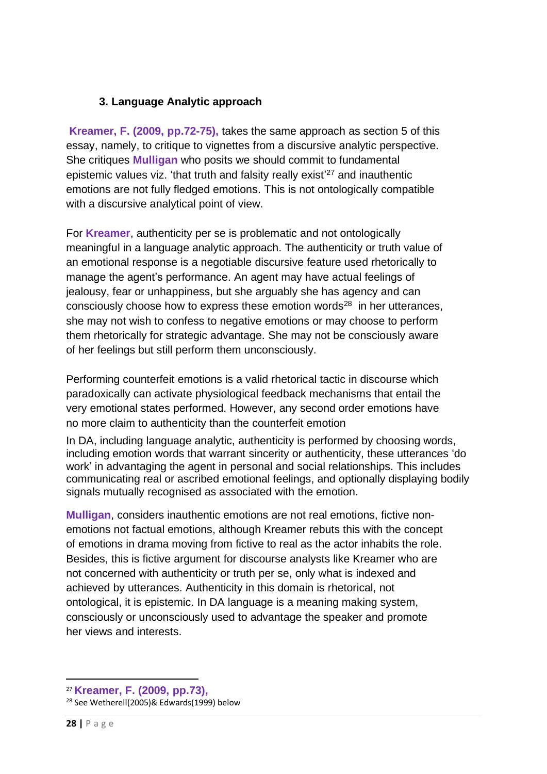## **3. Language Analytic approach**

**Kreamer, F. (2009, pp.72-75),** takes the same approach as section 5 of this essay, namely, to critique to vignettes from a discursive analytic perspective. She critiques **Mulligan** who posits we should commit to fundamental epistemic values viz. 'that truth and falsity really exist<sup>'27</sup> and inauthentic emotions are not fully fledged emotions. This is not ontologically compatible with a discursive analytical point of view.

For **Kreamer**, authenticity per se is problematic and not ontologically meaningful in a language analytic approach. The authenticity or truth value of an emotional response is a negotiable discursive feature used rhetorically to manage the agent's performance. An agent may have actual feelings of jealousy, fear or unhappiness, but she arguably she has agency and can consciously choose how to express these emotion words $^{28}$  in her utterances, she may not wish to confess to negative emotions or may choose to perform them rhetorically for strategic advantage. She may not be consciously aware of her feelings but still perform them unconsciously.

Performing counterfeit emotions is a valid rhetorical tactic in discourse which paradoxically can activate physiological feedback mechanisms that entail the very emotional states performed. However, any second order emotions have no more claim to authenticity than the counterfeit emotion

In DA, including language analytic, authenticity is performed by choosing words, including emotion words that warrant sincerity or authenticity, these utterances 'do work' in advantaging the agent in personal and social relationships. This includes communicating real or ascribed emotional feelings, and optionally displaying bodily signals mutually recognised as associated with the emotion.

**Mulligan**, considers inauthentic emotions are not real emotions, fictive nonemotions not factual emotions, although Kreamer rebuts this with the concept of emotions in drama moving from fictive to real as the actor inhabits the role. Besides, this is fictive argument for discourse analysts like Kreamer who are not concerned with authenticity or truth per se, only what is indexed and achieved by utterances. Authenticity in this domain is rhetorical, not ontological, it is epistemic. In DA language is a meaning making system, consciously or unconsciously used to advantage the speaker and promote her views and interests.

<sup>27</sup> **Kreamer, F. (2009, pp.73),**

<sup>28</sup> See Wetherell(2005)& Edwards(1999) below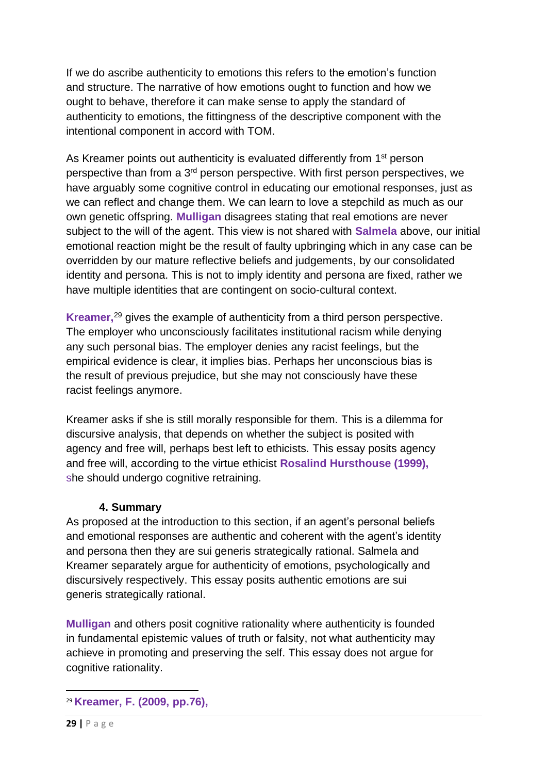If we do ascribe authenticity to emotions this refers to the emotion's function and structure. The narrative of how emotions ought to function and how we ought to behave, therefore it can make sense to apply the standard of authenticity to emotions, the fittingness of the descriptive component with the intentional component in accord with TOM.

As Kreamer points out authenticity is evaluated differently from 1<sup>st</sup> person perspective than from a 3<sup>rd</sup> person perspective. With first person perspectives, we have arguably some cognitive control in educating our emotional responses, just as we can reflect and change them. We can learn to love a stepchild as much as our own genetic offspring. **Mulligan** disagrees stating that real emotions are never subject to the will of the agent. This view is not shared with **Salmela** above, our initial emotional reaction might be the result of faulty upbringing which in any case can be overridden by our mature reflective beliefs and judgements, by our consolidated identity and persona. This is not to imply identity and persona are fixed, rather we have multiple identities that are contingent on socio-cultural context.

**Kreamer,** <sup>29</sup> gives the example of authenticity from a third person perspective. The employer who unconsciously facilitates institutional racism while denying any such personal bias. The employer denies any racist feelings, but the empirical evidence is clear, it implies bias. Perhaps her unconscious bias is the result of previous prejudice, but she may not consciously have these racist feelings anymore.

Kreamer asks if she is still morally responsible for them. This is a dilemma for discursive analysis, that depends on whether the subject is posited with agency and free will, perhaps best left to ethicists. This essay posits agency and free will, according to the virtue ethicist **Rosalind Hursthouse (1999),**  she should undergo cognitive retraining.

## **4. Summary**

As proposed at the introduction to this section, if an agent's personal beliefs and emotional responses are authentic and coherent with the agent's identity and persona then they are sui generis strategically rational. Salmela and Kreamer separately argue for authenticity of emotions, psychologically and discursively respectively. This essay posits authentic emotions are sui generis strategically rational.

**Mulligan** and others posit cognitive rationality where authenticity is founded in fundamental epistemic values of truth or falsity, not what authenticity may achieve in promoting and preserving the self. This essay does not argue for cognitive rationality.

<sup>29</sup> **Kreamer, F. (2009, pp.76),**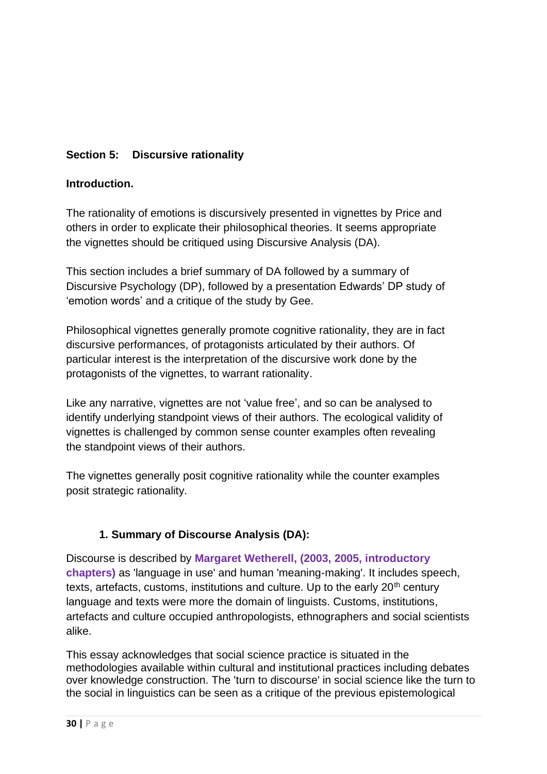# **Section 5: Discursive rationality**

### **Introduction.**

The rationality of emotions is discursively presented in vignettes by Price and others in order to explicate their philosophical theories. It seems appropriate the vignettes should be critiqued using Discursive Analysis (DA).

This section includes a brief summary of DA followed by a summary of Discursive Psychology (DP), followed by a presentation Edwards' DP study of 'emotion words' and a critique of the study by Gee.

Philosophical vignettes generally promote cognitive rationality, they are in fact discursive performances, of protagonists articulated by their authors. Of particular interest is the interpretation of the discursive work done by the protagonists of the vignettes, to warrant rationality.

Like any narrative, vignettes are not 'value free', and so can be analysed to identify underlying standpoint views of their authors. The ecological validity of vignettes is challenged by common sense counter examples often revealing the standpoint views of their authors.

The vignettes generally posit cognitive rationality while the counter examples posit strategic rationality.

## **1. Summary of Discourse Analysis (DA):**

Discourse is described by **Margaret Wetherell, (2003, 2005, introductory chapters)** as 'language in use' and human 'meaning-making'. It includes speech, texts, artefacts, customs, institutions and culture. Up to the early  $20<sup>th</sup>$  century language and texts were more the domain of linguists. Customs, institutions, artefacts and culture occupied anthropologists, ethnographers and social scientists alike.

This essay acknowledges that social science practice is situated in the methodologies available within cultural and institutional practices including debates over knowledge construction. The 'turn to discourse' in social science like the turn to the social in linguistics can be seen as a critique of the previous epistemological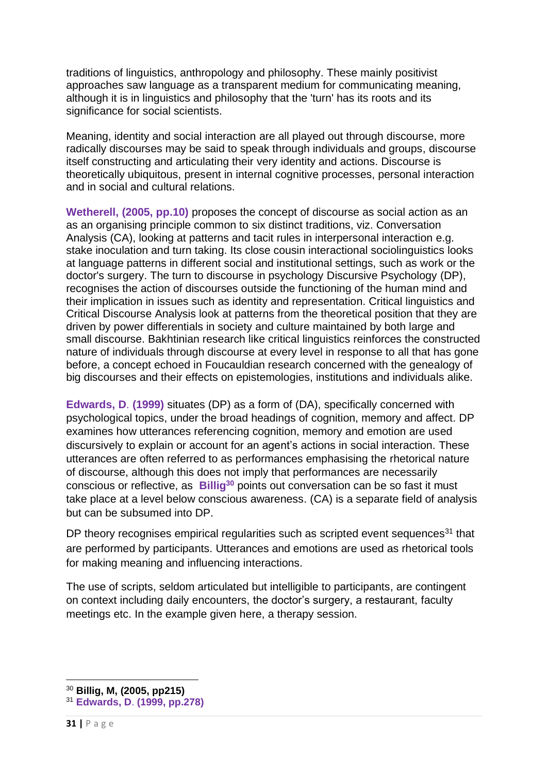traditions of linguistics, anthropology and philosophy. These mainly positivist approaches saw language as a transparent medium for communicating meaning, although it is in linguistics and philosophy that the 'turn' has its roots and its significance for social scientists.

Meaning, identity and social interaction are all played out through discourse, more radically discourses may be said to speak through individuals and groups, discourse itself constructing and articulating their very identity and actions. Discourse is theoretically ubiquitous, present in internal cognitive processes, personal interaction and in social and cultural relations.

**Wetherell, (2005, pp.10)** proposes the concept of discourse as social action as an as an organising principle common to six distinct traditions, viz. Conversation Analysis (CA), looking at patterns and tacit rules in interpersonal interaction e.g. stake inoculation and turn taking. Its close cousin interactional sociolinguistics looks at language patterns in different social and institutional settings, such as work or the doctor's surgery. The turn to discourse in psychology Discursive Psychology (DP), recognises the action of discourses outside the functioning of the human mind and their implication in issues such as identity and representation. Critical linguistics and Critical Discourse Analysis look at patterns from the theoretical position that they are driven by power differentials in society and culture maintained by both large and small discourse. Bakhtinian research like critical linguistics reinforces the constructed nature of individuals through discourse at every level in response to all that has gone before, a concept echoed in Foucauldian research concerned with the genealogy of big discourses and their effects on epistemologies, institutions and individuals alike.

**Edwards, D**. **(1999)** situates (DP) as a form of (DA), specifically concerned with psychological topics, under the broad headings of cognition, memory and affect. DP examines how utterances referencing cognition, memory and emotion are used discursively to explain or account for an agent's actions in social interaction. These utterances are often referred to as performances emphasising the rhetorical nature of discourse, although this does not imply that performances are necessarily conscious or reflective, as **Billig<sup>30</sup>** points out conversation can be so fast it must take place at a level below conscious awareness. (CA) is a separate field of analysis but can be subsumed into DP.

DP theory recognises empirical regularities such as scripted event sequences<sup>31</sup> that are performed by participants. Utterances and emotions are used as rhetorical tools for making meaning and influencing interactions.

The use of scripts, seldom articulated but intelligible to participants, are contingent on context including daily encounters, the doctor's surgery, a restaurant, faculty meetings etc. In the example given here, a therapy session.

<sup>30</sup> **Billig, M, (2005, pp215)**

<sup>31</sup> **Edwards, D**. **(1999, pp.278)**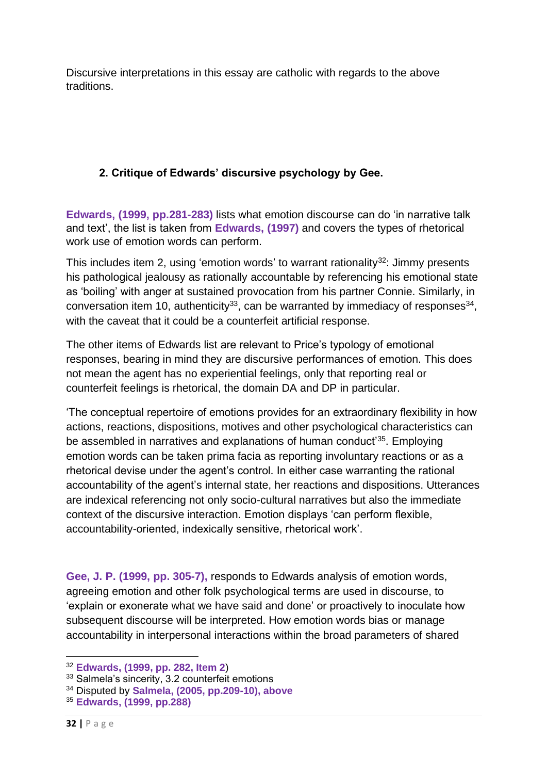Discursive interpretations in this essay are catholic with regards to the above traditions.

# **2. Critique of Edwards' discursive psychology by Gee.**

**Edwards, (1999, pp.281-283)** lists what emotion discourse can do 'in narrative talk and text', the list is taken from **Edwards, (1997)** and covers the types of rhetorical work use of emotion words can perform.

This includes item 2, using 'emotion words' to warrant rationality<sup>32</sup>: Jimmy presents his pathological jealousy as rationally accountable by referencing his emotional state as 'boiling' with anger at sustained provocation from his partner Connie. Similarly, in conversation item 10, authenticity<sup>33</sup>, can be warranted by immediacy of responses<sup>34</sup>, with the caveat that it could be a counterfeit artificial response.

The other items of Edwards list are relevant to Price's typology of emotional responses, bearing in mind they are discursive performances of emotion. This does not mean the agent has no experiential feelings, only that reporting real or counterfeit feelings is rhetorical, the domain DA and DP in particular.

'The conceptual repertoire of emotions provides for an extraordinary flexibility in how actions, reactions, dispositions, motives and other psychological characteristics can be assembled in narratives and explanations of human conduct<sup>'35</sup>. Employing emotion words can be taken prima facia as reporting involuntary reactions or as a rhetorical devise under the agent's control. In either case warranting the rational accountability of the agent's internal state, her reactions and dispositions. Utterances are indexical referencing not only socio-cultural narratives but also the immediate context of the discursive interaction. Emotion displays 'can perform flexible, accountability-oriented, indexically sensitive, rhetorical work'.

**Gee, J. P. (1999, pp. 305-7),** responds to Edwards analysis of emotion words, agreeing emotion and other folk psychological terms are used in discourse, to 'explain or exonerate what we have said and done' or proactively to inoculate how subsequent discourse will be interpreted. How emotion words bias or manage accountability in interpersonal interactions within the broad parameters of shared

<sup>32</sup> **Edwards, (1999, pp. 282, Item 2**)

<sup>&</sup>lt;sup>33</sup> Salmela's sincerity, 3.2 counterfeit emotions

<sup>34</sup> Disputed by **Salmela, (2005, pp.209-10), above**

<sup>35</sup> **Edwards, (1999, pp.288)**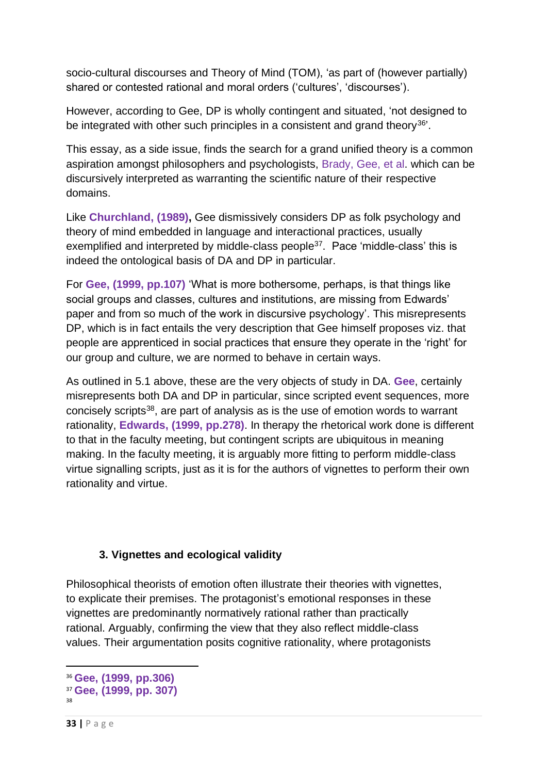socio-cultural discourses and Theory of Mind (TOM), 'as part of (however partially) shared or contested rational and moral orders ('cultures', 'discourses').

However, according to Gee, DP is wholly contingent and situated, 'not designed to be integrated with other such principles in a consistent and grand theory<sup>36</sup>'.

This essay, as a side issue, finds the search for a grand unified theory is a common aspiration amongst philosophers and psychologists, Brady, Gee, et al. which can be discursively interpreted as warranting the scientific nature of their respective domains.

Like **Churchland, (1989),** Gee dismissively considers DP as folk psychology and theory of mind embedded in language and interactional practices, usually exemplified and interpreted by middle-class people<sup>37</sup>. Pace 'middle-class' this is indeed the ontological basis of DA and DP in particular.

For **Gee, (1999, pp.107)** 'What is more bothersome, perhaps, is that things like social groups and classes, cultures and institutions, are missing from Edwards' paper and from so much of the work in discursive psychology'. This misrepresents DP, which is in fact entails the very description that Gee himself proposes viz. that people are apprenticed in social practices that ensure they operate in the 'right' for our group and culture, we are normed to behave in certain ways.

As outlined in 5.1 above, these are the very objects of study in DA. **Gee**, certainly misrepresents both DA and DP in particular, since scripted event sequences, more concisely scripts<sup>38</sup>, are part of analysis as is the use of emotion words to warrant rationality, **Edwards, (1999, pp.278)**. In therapy the rhetorical work done is different to that in the faculty meeting, but contingent scripts are ubiquitous in meaning making. In the faculty meeting, it is arguably more fitting to perform middle-class virtue signalling scripts, just as it is for the authors of vignettes to perform their own rationality and virtue.

# **3. Vignettes and ecological validity**

Philosophical theorists of emotion often illustrate their theories with vignettes, to explicate their premises. The protagonist's emotional responses in these vignettes are predominantly normatively rational rather than practically rational. Arguably, confirming the view that they also reflect middle-class values. Their argumentation posits cognitive rationality, where protagonists

<sup>36</sup> **Gee, (1999, pp.306)**

<sup>37</sup> **Gee, (1999, pp. 307)**

<sup>38</sup>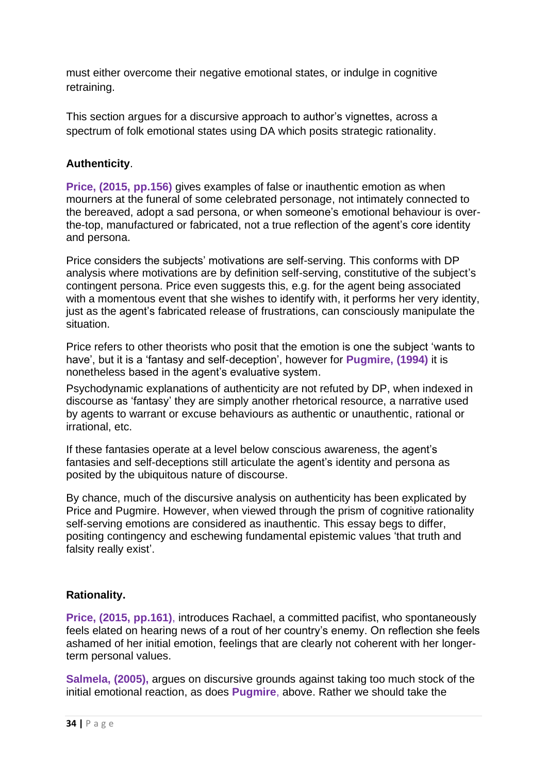must either overcome their negative emotional states, or indulge in cognitive retraining.

This section argues for a discursive approach to author's vignettes, across a spectrum of folk emotional states using DA which posits strategic rationality.

## **Authenticity**.

**Price, (2015, pp.156)** gives examples of false or inauthentic emotion as when mourners at the funeral of some celebrated personage, not intimately connected to the bereaved, adopt a sad persona, or when someone's emotional behaviour is overthe-top, manufactured or fabricated, not a true reflection of the agent's core identity and persona.

Price considers the subjects' motivations are self-serving. This conforms with DP analysis where motivations are by definition self-serving, constitutive of the subject's contingent persona. Price even suggests this, e.g. for the agent being associated with a momentous event that she wishes to identify with, it performs her very identity, just as the agent's fabricated release of frustrations, can consciously manipulate the situation.

Price refers to other theorists who posit that the emotion is one the subject 'wants to have', but it is a 'fantasy and self-deception', however for **Pugmire, (1994)** it is nonetheless based in the agent's evaluative system.

Psychodynamic explanations of authenticity are not refuted by DP, when indexed in discourse as 'fantasy' they are simply another rhetorical resource, a narrative used by agents to warrant or excuse behaviours as authentic or unauthentic, rational or irrational, etc.

If these fantasies operate at a level below conscious awareness, the agent's fantasies and self-deceptions still articulate the agent's identity and persona as posited by the ubiquitous nature of discourse.

By chance, much of the discursive analysis on authenticity has been explicated by Price and Pugmire. However, when viewed through the prism of cognitive rationality self-serving emotions are considered as inauthentic. This essay begs to differ, positing contingency and eschewing fundamental epistemic values 'that truth and falsity really exist'.

## **Rationality.**

**Price, (2015, pp.161)**, introduces Rachael, a committed pacifist, who spontaneously feels elated on hearing news of a rout of her country's enemy. On reflection she feels ashamed of her initial emotion, feelings that are clearly not coherent with her longerterm personal values.

**Salmela, (2005),** argues on discursive grounds against taking too much stock of the initial emotional reaction, as does **Pugmire**, above. Rather we should take the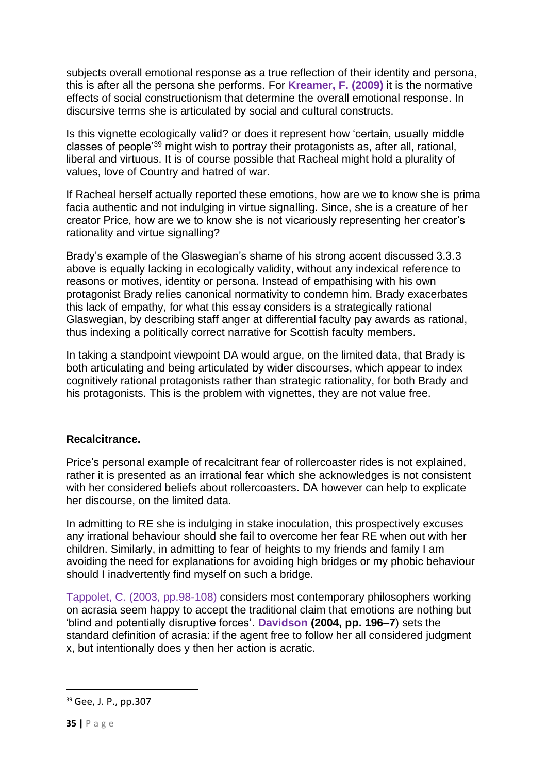subjects overall emotional response as a true reflection of their identity and persona, this is after all the persona she performs. For **Kreamer, F. (2009)** it is the normative effects of social constructionism that determine the overall emotional response. In discursive terms she is articulated by social and cultural constructs.

Is this vignette ecologically valid? or does it represent how 'certain, usually middle classes of people'<sup>39</sup> might wish to portray their protagonists as, after all, rational, liberal and virtuous. It is of course possible that Racheal might hold a plurality of values, love of Country and hatred of war.

If Racheal herself actually reported these emotions, how are we to know she is prima facia authentic and not indulging in virtue signalling. Since, she is a creature of her creator Price, how are we to know she is not vicariously representing her creator's rationality and virtue signalling?

Brady's example of the Glaswegian's shame of his strong accent discussed 3.3.3 above is equally lacking in ecologically validity, without any indexical reference to reasons or motives, identity or persona. Instead of empathising with his own protagonist Brady relies canonical normativity to condemn him. Brady exacerbates this lack of empathy, for what this essay considers is a strategically rational Glaswegian, by describing staff anger at differential faculty pay awards as rational, thus indexing a politically correct narrative for Scottish faculty members.

In taking a standpoint viewpoint DA would argue, on the limited data, that Brady is both articulating and being articulated by wider discourses, which appear to index cognitively rational protagonists rather than strategic rationality, for both Brady and his protagonists. This is the problem with vignettes, they are not value free.

## **Recalcitrance.**

Price's personal example of recalcitrant fear of rollercoaster rides is not explained, rather it is presented as an irrational fear which she acknowledges is not consistent with her considered beliefs about rollercoasters. DA however can help to explicate her discourse, on the limited data.

In admitting to RE she is indulging in stake inoculation, this prospectively excuses any irrational behaviour should she fail to overcome her fear RE when out with her children. Similarly, in admitting to fear of heights to my friends and family I am avoiding the need for explanations for avoiding high bridges or my phobic behaviour should I inadvertently find myself on such a bridge.

Tappolet, C. (2003, pp.98-108) considers most contemporary philosophers working on acrasia seem happy to accept the traditional claim that emotions are nothing but 'blind and potentially disruptive forces'. **Davidson (2004, pp. 196–7**) sets the standard definition of acrasia: if the agent free to follow her all considered judgment x, but intentionally does y then her action is acratic.

<sup>39</sup> Gee, J. P., pp.307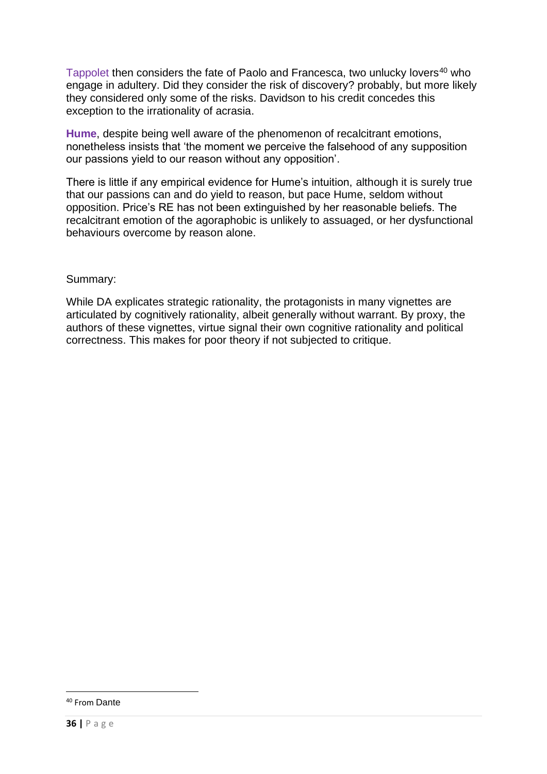Tappolet then considers the fate of Paolo and Francesca, two unlucky lovers<sup>40</sup> who engage in adultery. Did they consider the risk of discovery? probably, but more likely they considered only some of the risks. Davidson to his credit concedes this exception to the irrationality of acrasia.

**Hume**, despite being well aware of the phenomenon of recalcitrant emotions, nonetheless insists that 'the moment we perceive the falsehood of any supposition our passions yield to our reason without any opposition'.

There is little if any empirical evidence for Hume's intuition, although it is surely true that our passions can and do yield to reason, but pace Hume, seldom without opposition. Price's RE has not been extinguished by her reasonable beliefs. The recalcitrant emotion of the agoraphobic is unlikely to assuaged, or her dysfunctional behaviours overcome by reason alone.

#### Summary:

While DA explicates strategic rationality, the protagonists in many vignettes are articulated by cognitively rationality, albeit generally without warrant. By proxy, the authors of these vignettes, virtue signal their own cognitive rationality and political correctness. This makes for poor theory if not subjected to critique.

<sup>40</sup> From Dante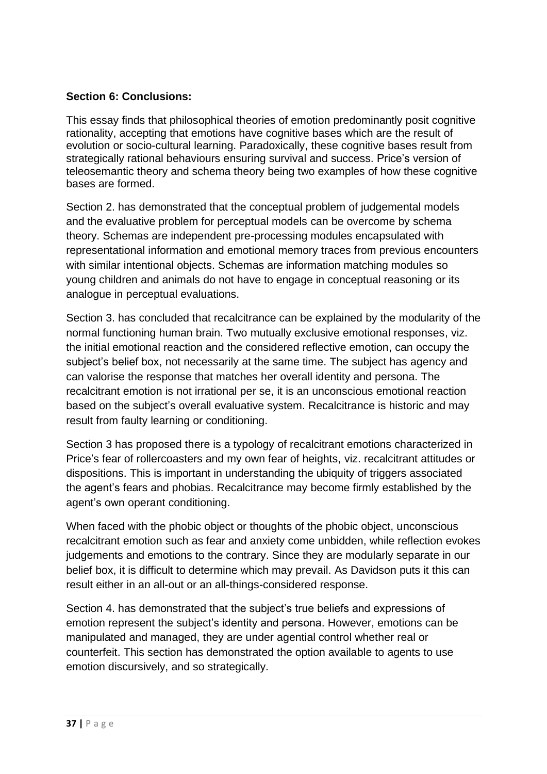### **Section 6: Conclusions:**

This essay finds that philosophical theories of emotion predominantly posit cognitive rationality, accepting that emotions have cognitive bases which are the result of evolution or socio-cultural learning. Paradoxically, these cognitive bases result from strategically rational behaviours ensuring survival and success. Price's version of teleosemantic theory and schema theory being two examples of how these cognitive bases are formed.

Section 2. has demonstrated that the conceptual problem of judgemental models and the evaluative problem for perceptual models can be overcome by schema theory. Schemas are independent pre-processing modules encapsulated with representational information and emotional memory traces from previous encounters with similar intentional objects. Schemas are information matching modules so young children and animals do not have to engage in conceptual reasoning or its analogue in perceptual evaluations.

Section 3. has concluded that recalcitrance can be explained by the modularity of the normal functioning human brain. Two mutually exclusive emotional responses, viz. the initial emotional reaction and the considered reflective emotion, can occupy the subject's belief box, not necessarily at the same time. The subject has agency and can valorise the response that matches her overall identity and persona. The recalcitrant emotion is not irrational per se, it is an unconscious emotional reaction based on the subject's overall evaluative system. Recalcitrance is historic and may result from faulty learning or conditioning.

Section 3 has proposed there is a typology of recalcitrant emotions characterized in Price's fear of rollercoasters and my own fear of heights, viz. recalcitrant attitudes or dispositions. This is important in understanding the ubiquity of triggers associated the agent's fears and phobias. Recalcitrance may become firmly established by the agent's own operant conditioning.

When faced with the phobic object or thoughts of the phobic object, unconscious recalcitrant emotion such as fear and anxiety come unbidden, while reflection evokes judgements and emotions to the contrary. Since they are modularly separate in our belief box, it is difficult to determine which may prevail. As Davidson puts it this can result either in an all-out or an all-things-considered response.

Section 4. has demonstrated that the subject's true beliefs and expressions of emotion represent the subject's identity and persona. However, emotions can be manipulated and managed, they are under agential control whether real or counterfeit. This section has demonstrated the option available to agents to use emotion discursively, and so strategically.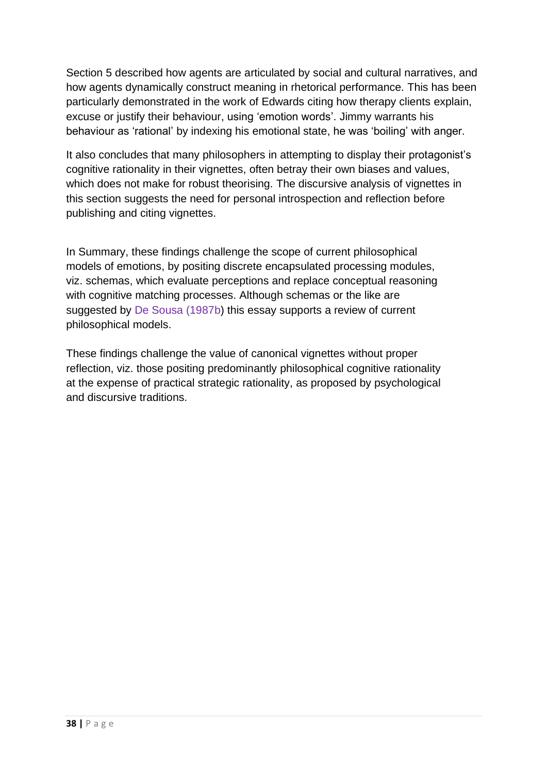Section 5 described how agents are articulated by social and cultural narratives, and how agents dynamically construct meaning in rhetorical performance. This has been particularly demonstrated in the work of Edwards citing how therapy clients explain, excuse or justify their behaviour, using 'emotion words'. Jimmy warrants his behaviour as 'rational' by indexing his emotional state, he was 'boiling' with anger.

It also concludes that many philosophers in attempting to display their protagonist's cognitive rationality in their vignettes, often betray their own biases and values, which does not make for robust theorising. The discursive analysis of vignettes in this section suggests the need for personal introspection and reflection before publishing and citing vignettes.

In Summary, these findings challenge the scope of current philosophical models of emotions, by positing discrete encapsulated processing modules, viz. schemas, which evaluate perceptions and replace conceptual reasoning with cognitive matching processes. Although schemas or the like are suggested by De Sousa (1987b) this essay supports a review of current philosophical models.

These findings challenge the value of canonical vignettes without proper reflection, viz. those positing predominantly philosophical cognitive rationality at the expense of practical strategic rationality, as proposed by psychological and discursive traditions.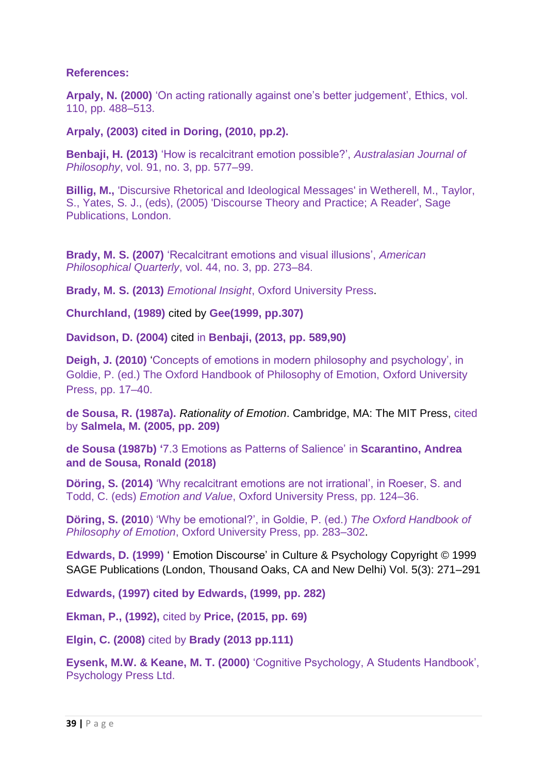### **References:**

**Arpaly, N. (2000)** 'On acting rationally against one's better judgement', Ethics, vol. 110, pp. 488–513.

### **Arpaly, (2003) cited in Doring, (2010, pp.2).**

**Benbaji, H. (2013)** 'How is recalcitrant emotion possible?', *Australasian Journal of Philosophy*, vol. 91, no. 3, pp. 577–99.

**Billig, M.,** 'Discursive Rhetorical and Ideological Messages' in Wetherell, M., Taylor, S., Yates, S. J., (eds), (2005) 'Discourse Theory and Practice; A Reader', Sage Publications, London.

**Brady, M. S. (2007)** 'Recalcitrant emotions and visual illusions', *American Philosophical Quarterly*, vol. 44, no. 3, pp. 273–84.

**Brady, M. S. (2013)** *Emotional Insight*, Oxford University Press.

**Churchland, (1989)** cited by **Gee(1999, pp.307)**

**Davidson, D. (2004)** cited in **Benbaji, (2013, pp. 589,90)**

**Deigh, J. (2010)** Concepts of emotions in modern philosophy and psychology', in Goldie, P. (ed.) The Oxford Handbook of Philosophy of Emotion, Oxford University Press, pp. 17–40.

**de Sousa, R. (1987a).** *Rationality of Emotion*. Cambridge, MA: The MIT Press, cited by **Salmela, M. (2005, pp. 209)**

**de Sousa (1987b) '**7.3 Emotions as Patterns of Salience' in **Scarantino, Andrea and de Sousa, Ronald (2018)**

**Döring, S. (2014)** 'Why recalcitrant emotions are not irrational', in Roeser, S. and Todd, C. (eds) *Emotion and Value*, Oxford University Press, pp. 124–36.

**Döring, S. (2010**) 'Why be emotional?', in Goldie, P. (ed.) *The Oxford Handbook of Philosophy of Emotion*, Oxford University Press, pp. 283–302.

**Edwards, D. (1999)** ' Emotion Discourse' in Culture & Psychology Copyright © 1999 SAGE Publications (London, Thousand Oaks, CA and New Delhi) Vol. 5(3): 271–291

**Edwards, (1997) cited by Edwards, (1999, pp. 282)**

**Ekman, P., (1992),** cited by **Price, (2015, pp. 69)**

**Elgin, C. (2008)** cited by **Brady (2013 pp.111)**

**Eysenk, M.W. & Keane, M. T. (2000)** 'Cognitive Psychology, A Students Handbook', Psychology Press Ltd.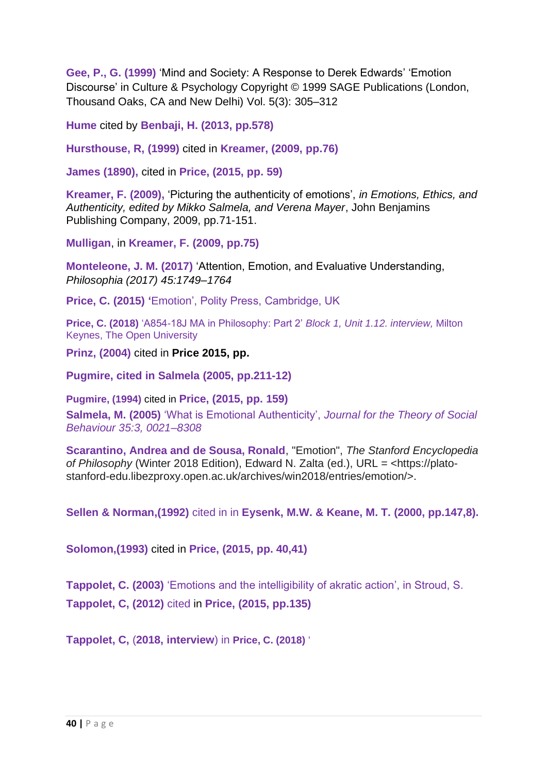**Gee, P., G. (1999)** 'Mind and Society: A Response to Derek Edwards' 'Emotion Discourse' in Culture & Psychology Copyright © 1999 SAGE Publications (London, Thousand Oaks, CA and New Delhi) Vol. 5(3): 305–312

**Hume** cited by **Benbaji, H. (2013, pp.578)**

**Hursthouse, R, (1999)** cited in **Kreamer, (2009, pp.76)**

**James (1890),** cited in **Price, (2015, pp. 59)**

**Kreamer, F. (2009),** 'Picturing the authenticity of emotions', *in Emotions, Ethics, and Authenticity, edited by Mikko Salmela, and Verena Mayer*, John Benjamins Publishing Company, 2009, pp.71-151.

**Mulligan**, in **Kreamer, F. (2009, pp.75)**

**Monteleone, J. M. (2017)** 'Attention, Emotion, and Evaluative Understanding, *Philosophia (2017) 45:1749–1764*

**Price, C. (2015) '**Emotion', Polity Press, Cambridge, UK

**Price, C. (2018)** 'A854-18J MA in Philosophy: Part 2' *Block 1, Unit 1.12. interview,* Milton Keynes, The Open University

**Prinz, (2004)** cited in **Price 2015, pp.**

**Pugmire, cited in Salmela (2005, pp.211-12)**

**Pugmire, (1994)** cited in **Price, (2015, pp. 159)**

**Salmela, M. (2005)** 'What is Emotional Authenticity', *Journal for the Theory of Social Behaviour 35:3, 0021–8308*

**Scarantino, Andrea and de Sousa, Ronald**, "Emotion", *The Stanford Encyclopedia of Philosophy* (Winter 2018 Edition), Edward N. Zalta (ed.), URL = <https://platostanford-edu.libezproxy.open.ac.uk/archives/win2018/entries/emotion/>.

**Sellen & Norman,(1992)** cited in in **Eysenk, M.W. & Keane, M. T. (2000, pp.147,8).**

**Solomon,(1993)** cited in **Price, (2015, pp. 40,41)**

**Tappolet, C. (2003)** 'Emotions and the intelligibility of akratic action', in Stroud, S. **Tappolet, C, (2012)** cited in **Price, (2015, pp.135)**

**Tappolet, C,** (**2018, interview**) in **Price, C. (2018)** '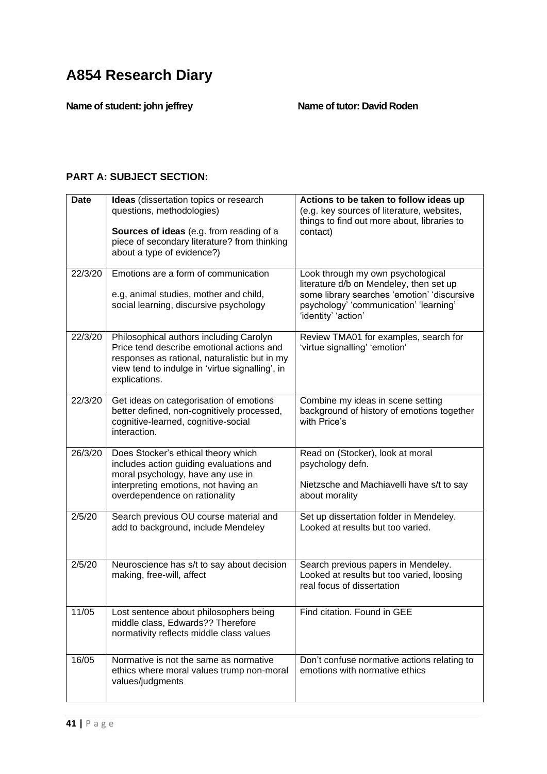**Name of student: john jeffrey Name of tutor: David Roden**

### **PART A: SUBJECT SECTION:**

| <b>Date</b> | Ideas (dissertation topics or research<br>questions, methodologies)<br>Sources of ideas (e.g. from reading of a<br>piece of secondary literature? from thinking<br>about a type of evidence?)             | Actions to be taken to follow ideas up<br>(e.g. key sources of literature, websites,<br>things to find out more about, libraries to<br>contact)                                              |
|-------------|-----------------------------------------------------------------------------------------------------------------------------------------------------------------------------------------------------------|----------------------------------------------------------------------------------------------------------------------------------------------------------------------------------------------|
| 22/3/20     | Emotions are a form of communication<br>e.g, animal studies, mother and child,<br>social learning, discursive psychology                                                                                  | Look through my own psychological<br>literature d/b on Mendeley, then set up<br>some library searches 'emotion' 'discursive<br>psychology' 'communication' 'learning'<br>'identity' 'action' |
| 22/3/20     | Philosophical authors including Carolyn<br>Price tend describe emotional actions and<br>responses as rational, naturalistic but in my<br>view tend to indulge in 'virtue signalling', in<br>explications. | Review TMA01 for examples, search for<br>'virtue signalling' 'emotion'                                                                                                                       |
| 22/3/20     | Get ideas on categorisation of emotions<br>better defined, non-cognitively processed,<br>cognitive-learned, cognitive-social<br>interaction.                                                              | Combine my ideas in scene setting<br>background of history of emotions together<br>with Price's                                                                                              |
| 26/3/20     | Does Stocker's ethical theory which<br>includes action guiding evaluations and<br>moral psychology, have any use in<br>interpreting emotions, not having an<br>overdependence on rationality              | Read on (Stocker), look at moral<br>psychology defn.<br>Nietzsche and Machiavelli have s/t to say<br>about morality                                                                          |
| 2/5/20      | Search previous OU course material and<br>add to background, include Mendeley                                                                                                                             | Set up dissertation folder in Mendeley.<br>Looked at results but too varied.                                                                                                                 |
| 2/5/20      | Neuroscience has s/t to say about decision<br>making, free-will, affect                                                                                                                                   | Search previous papers in Mendeley.<br>Looked at results but too varied, loosing<br>real focus of dissertation                                                                               |
| 11/05       | Lost sentence about philosophers being<br>middle class, Edwards?? Therefore<br>normativity reflects middle class values                                                                                   | Find citation. Found in GEE                                                                                                                                                                  |
| 16/05       | Normative is not the same as normative<br>ethics where moral values trump non-moral<br>values/judgments                                                                                                   | Don't confuse normative actions relating to<br>emotions with normative ethics                                                                                                                |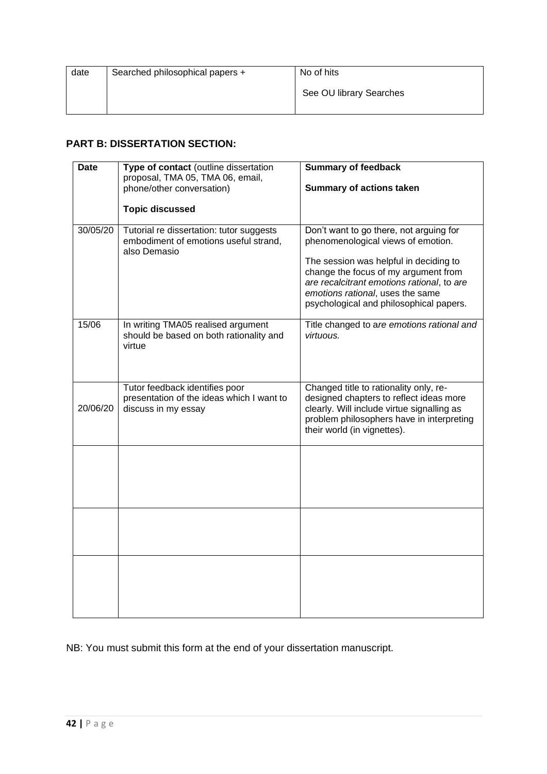| date | Searched philosophical papers + | No of hits              |
|------|---------------------------------|-------------------------|
|      |                                 | See OU library Searches |
|      |                                 |                         |

#### **PART B: DISSERTATION SECTION:**

| <b>Date</b> | Type of contact (outline dissertation<br>proposal, TMA 05, TMA 06, email,<br>phone/other conversation)<br><b>Topic discussed</b> | <b>Summary of feedback</b><br><b>Summary of actions taken</b>                                                                                                                                                                                                                                |
|-------------|----------------------------------------------------------------------------------------------------------------------------------|----------------------------------------------------------------------------------------------------------------------------------------------------------------------------------------------------------------------------------------------------------------------------------------------|
| 30/05/20    | Tutorial re dissertation: tutor suggests<br>embodiment of emotions useful strand,<br>also Demasio                                | Don't want to go there, not arguing for<br>phenomenological views of emotion.<br>The session was helpful in deciding to<br>change the focus of my argument from<br>are recalcitrant emotions rational, to are<br>emotions rational, uses the same<br>psychological and philosophical papers. |
| 15/06       | In writing TMA05 realised argument<br>should be based on both rationality and<br>virtue                                          | Title changed to are emotions rational and<br>virtuous.                                                                                                                                                                                                                                      |
| 20/06/20    | Tutor feedback identifies poor<br>presentation of the ideas which I want to<br>discuss in my essay                               | Changed title to rationality only, re-<br>designed chapters to reflect ideas more<br>clearly. Will include virtue signalling as<br>problem philosophers have in interpreting<br>their world (in vignettes).                                                                                  |
|             |                                                                                                                                  |                                                                                                                                                                                                                                                                                              |
|             |                                                                                                                                  |                                                                                                                                                                                                                                                                                              |
|             |                                                                                                                                  |                                                                                                                                                                                                                                                                                              |

NB: You must submit this form at the end of your dissertation manuscript.